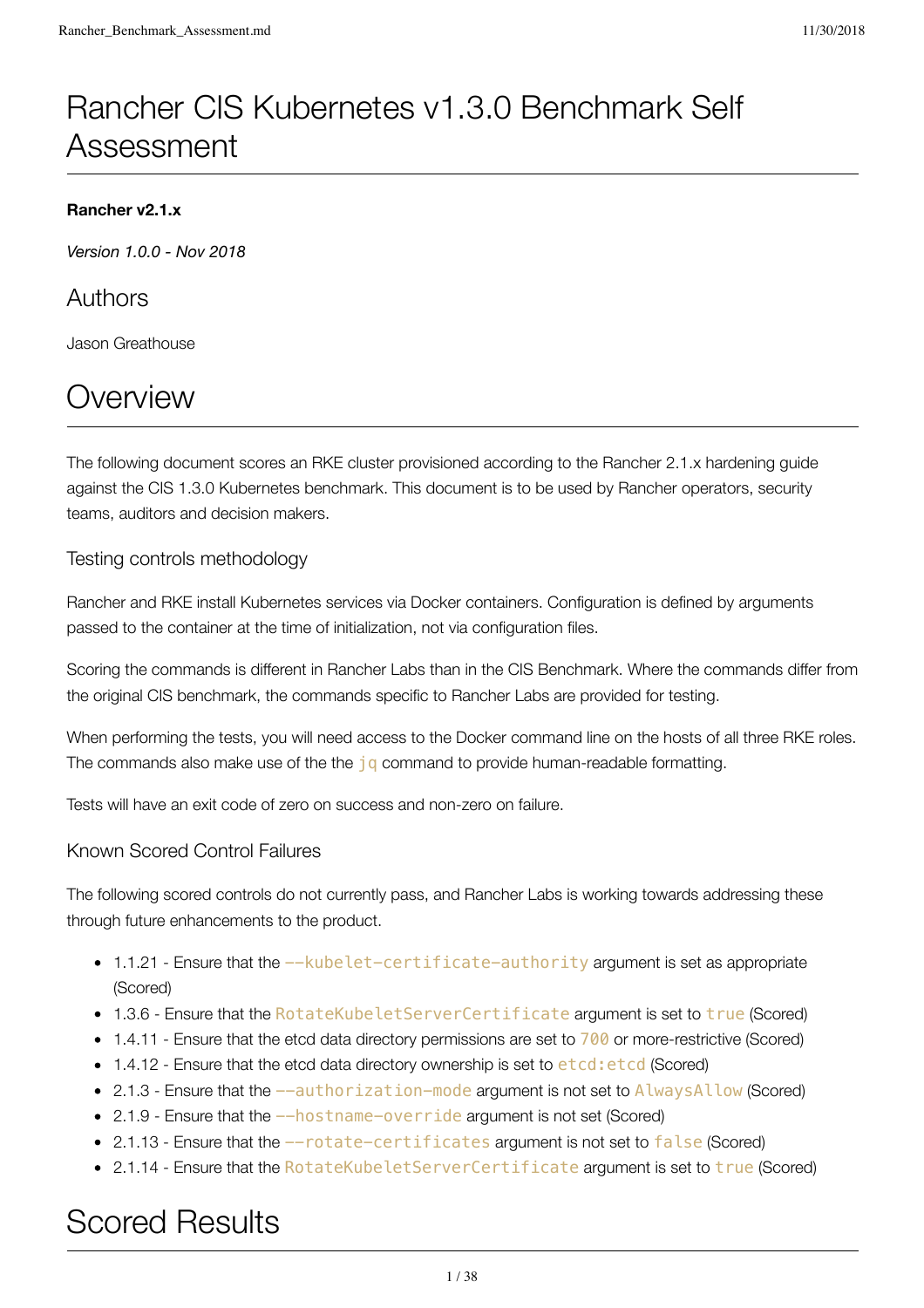# Rancher CIS Kubernetes v1.3.0 Benchmark Self Assessment

# **Rancher v2.1.x**

*Version 1.0.0 - Nov 2018*

# Authors

Jason Greathouse

# **Overview**

The following document scores an RKE cluster provisioned according to the Rancher 2.1.x hardening guide against the CIS 1.3.0 Kubernetes benchmark. This document is to be used by Rancher operators, security teams, auditors and decision makers.

# Testing controls methodology

Rancher and RKE install Kubernetes services via Docker containers. Configuration is defined by arguments passed to the container at the time of initialization, not via configuration files.

Scoring the commands is different in Rancher Labs than in the CIS Benchmark. Where the commands differ from the original CIS benchmark, the commands specific to Rancher Labs are provided for testing.

When performing the tests, you will need access to the Docker command line on the hosts of all three RKE roles. The commands also make use of the the  $jq$  command to provide human-readable formatting.

Tests will have an exit code of zero on success and non-zero on failure.

# Known Scored Control Failures

The following scored controls do not currently pass, and Rancher Labs is working towards addressing these through future enhancements to the product.

- 1.1.21 Ensure that the --kubelet-certificate-authority argument is set as appropriate (Scored)
- 1.3.6 Ensure that the RotateKubeletServerCertificate argument is set to true (Scored)
- 1.4.11 Ensure that the etcd data directory permissions are set to 700 or more-restrictive (Scored)
- 1.4.12 Ensure that the etcd data directory ownership is set to etcd: etcd (Scored)
- 2.1.3 Ensure that the  $-$ -authorization-mode argument is not set to AlwaysAllow (Scored)
- 2.1.9 Ensure that the  $-$ hostname-override argument is not set (Scored)
- 2.1.13 Ensure that the --rotate-certificates argument is not set to false (Scored)
- 2.1.14 Ensure that the RotateKubeletServerCertificate argument is set to true (Scored)

# Scored Results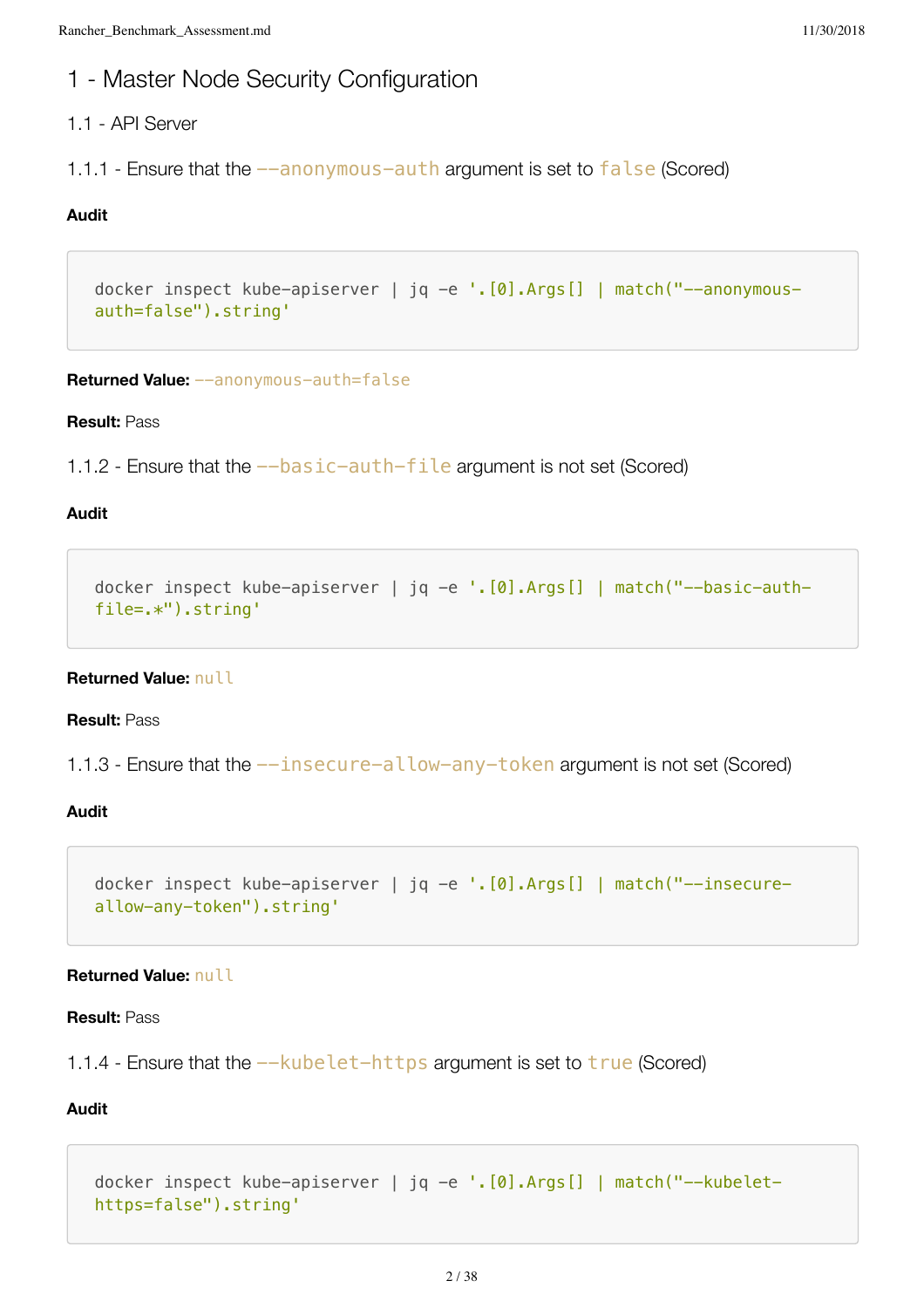# 1 - Master Node Security Configuration

# 1.1 - API Server

1.1.1 - Ensure that the  $-$ -anonymous-auth argument is set to false (Scored)

# **Audit**

```
docker inspect kube-apiserver | jq -e '.[0].Args[] | match("--anonymous-
auth=false").string'
```
**Returned Value:** --anonymous-auth=false

#### **Result:** Pass

1.1.2 - Ensure that the  $-$ basic-auth-file argument is not set (Scored)

#### **Audit**

```
docker inspect kube-apiserver | jq -e '.[0].Args[] | match("--basic-auth-
file=.*").string'
```
# **Returned Value:** null

## **Result:** Pass

1.1.3 - Ensure that the  $-$ insecure-allow-any-token argument is not set (Scored)

# **Audit**

```
docker inspect kube-apiserver | jq -e '.[0].Args[] | match("--insecure-
allow-any-token").string'
```
# **Returned Value:** null

# **Result:** Pass

```
1.1.4 - Ensure that the --kubelet-https argument is set to true (Scored)
```

```
docker inspect kube-apiserver | jq -e '.[0].Args[] | match("--kubelet-
https=false").string'
```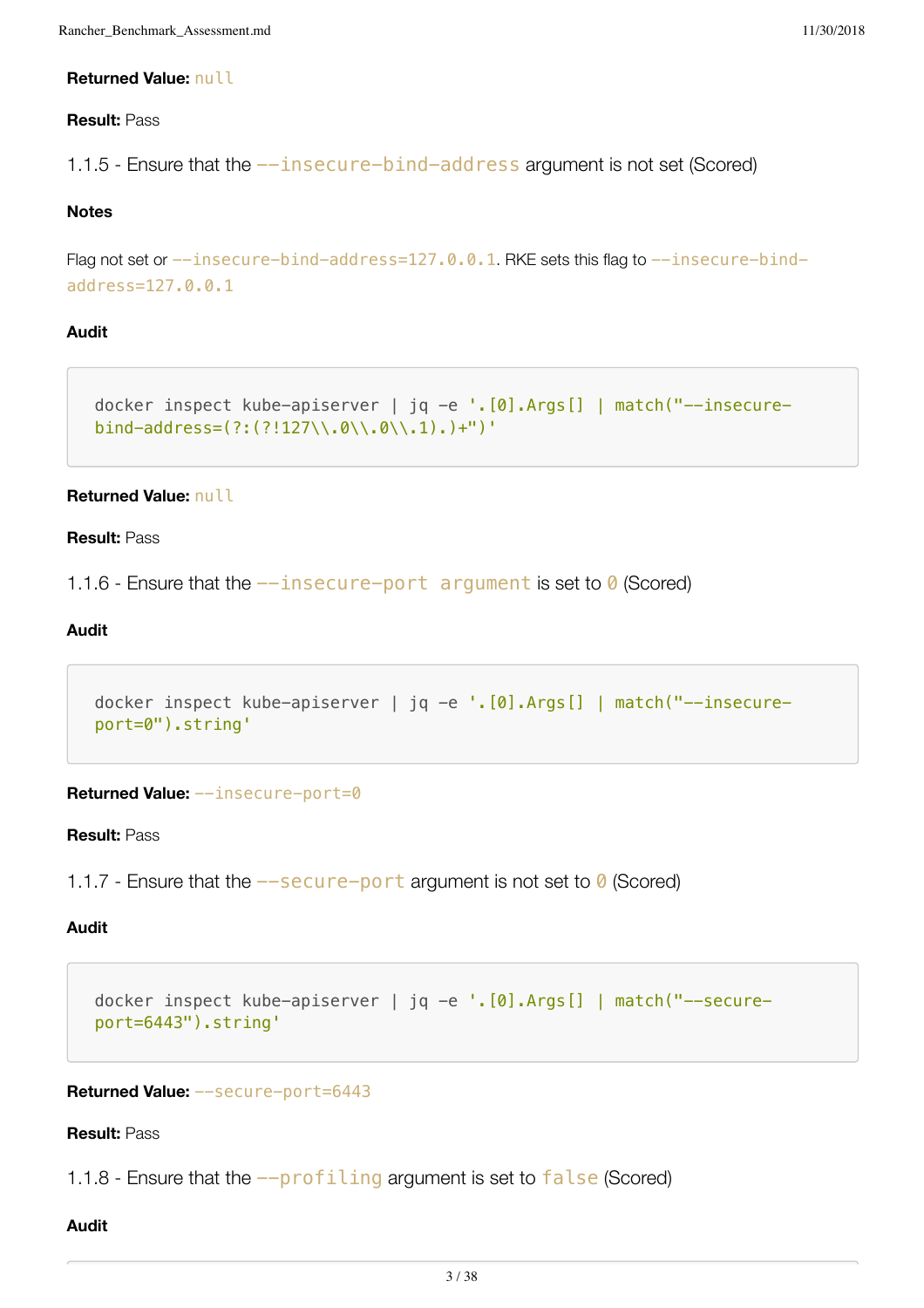#### **Returned Value:** null

## **Result:** Pass

1.1.5 - Ensure that the --insecure-bind-address argument is not set (Scored)

# **Notes**

```
Flag not set or --insecure-bind-address=127.0.0.1. RKE sets this flag to --insecure-bind-
address=127.0.0.1
```
# **Audit**

```
docker inspect kube-apiserver | jq -e '.[0].Args[] | match("--insecure-
bind-address=(?\: (?\: 127\\\.0\\.\0\\.\0\\.\) +")'
```
#### **Returned Value:** null

# **Result:** Pass

```
1.1.6 - Ensure that the -\text{insecure}-port argument is set to 0 (Scored)
```
# **Audit**

```
docker inspect kube-apiserver | jq -e '.[0].Args[] | match("--insecure-
port=0").string'
```
**Returned Value:** --insecure-port=0

# **Result:** Pass

1.1.7 - Ensure that the  $-$ -secure-port argument is not set to  $\theta$  (Scored)

# **Audit**

```
docker inspect kube-apiserver | jq -e '.[0].Args[] | match("--secure-
port=6443").string'
```
**Returned Value:** --secure-port=6443

#### **Result:** Pass

1.1.8 - Ensure that the  $-\text{profiting}$  argument is set to  $\text{false}$  (Scored)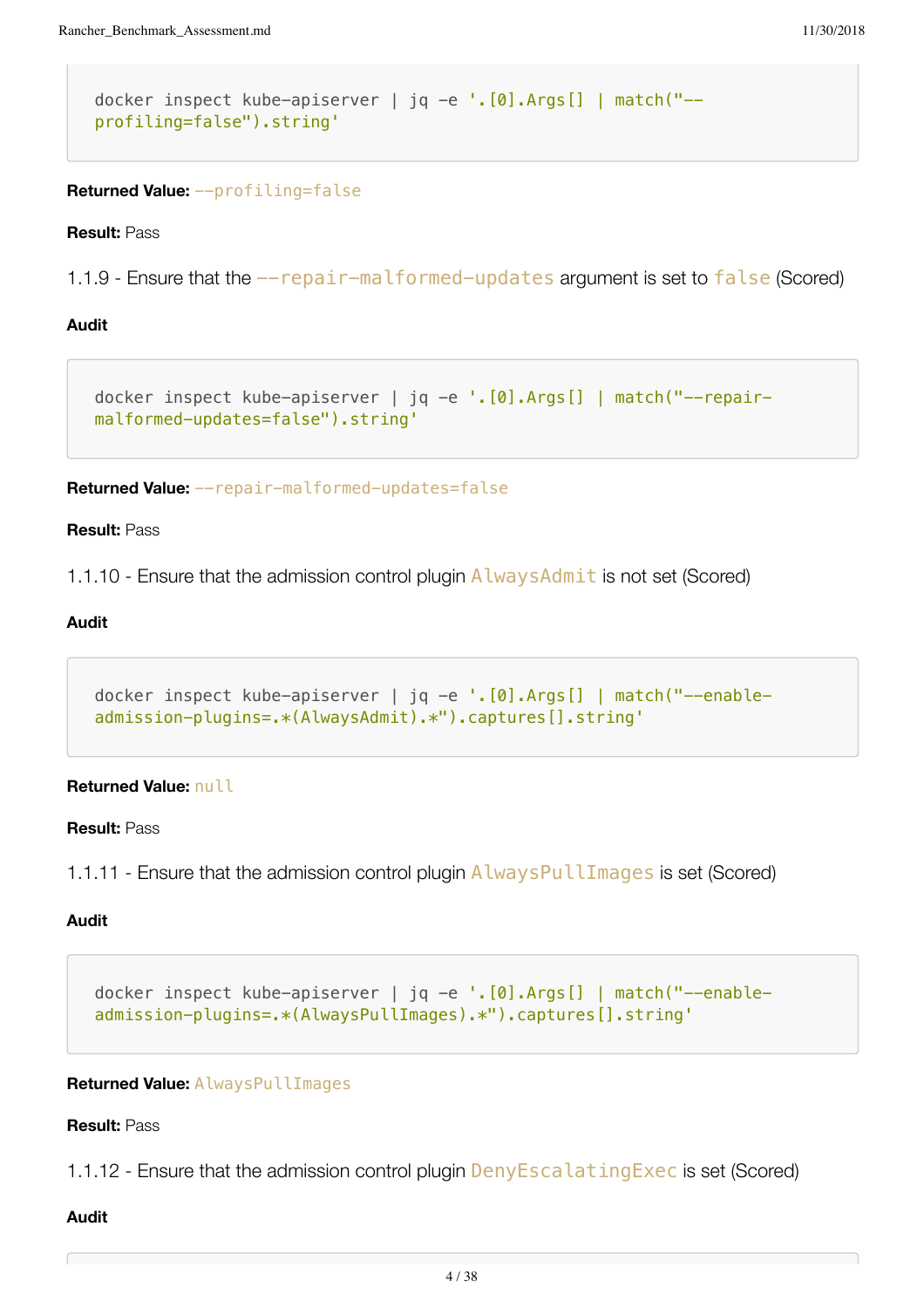```
docker inspect kube-apiserver | jq -e '.[0].Args[] | match("--
profiling=false").string'
```
**Returned Value:** --profiling=false

**Result:** Pass

1.1.9 - Ensure that the  $-$ -repair-malformed-updates argument is set to false (Scored)

# **Audit**

```
docker inspect kube-apiserver | jq -e '.[0].Args[] | match("--repair-
malformed-updates=false").string'
```
**Returned Value:** --repair-malformed-updates=false

#### **Result:** Pass

1.1.10 - Ensure that the admission control plugin AlwaysAdmit is not set (Scored)

# **Audit**

```
docker inspect kube-apiserver | jq -e '.[0].Args[] | match("--enable-
admission-plugins=.*(AlwaysAdmit).*").captures[].string'
```
# **Returned Value:** null

# **Result:** Pass

1.1.11 - Ensure that the admission control plugin AlwaysPullImages is set (Scored)

# **Audit**

```
docker inspect kube-apiserver | jq -e '.[0].Args[] | match("--enable-
admission-plugins=.*(AlwaysPullImages).*").captures[].string'
```
#### **Returned Value:** AlwaysPullImages

# **Result:** Pass

1.1.12 - Ensure that the admission control plugin **DenyEscalatingExec** is set (Scored)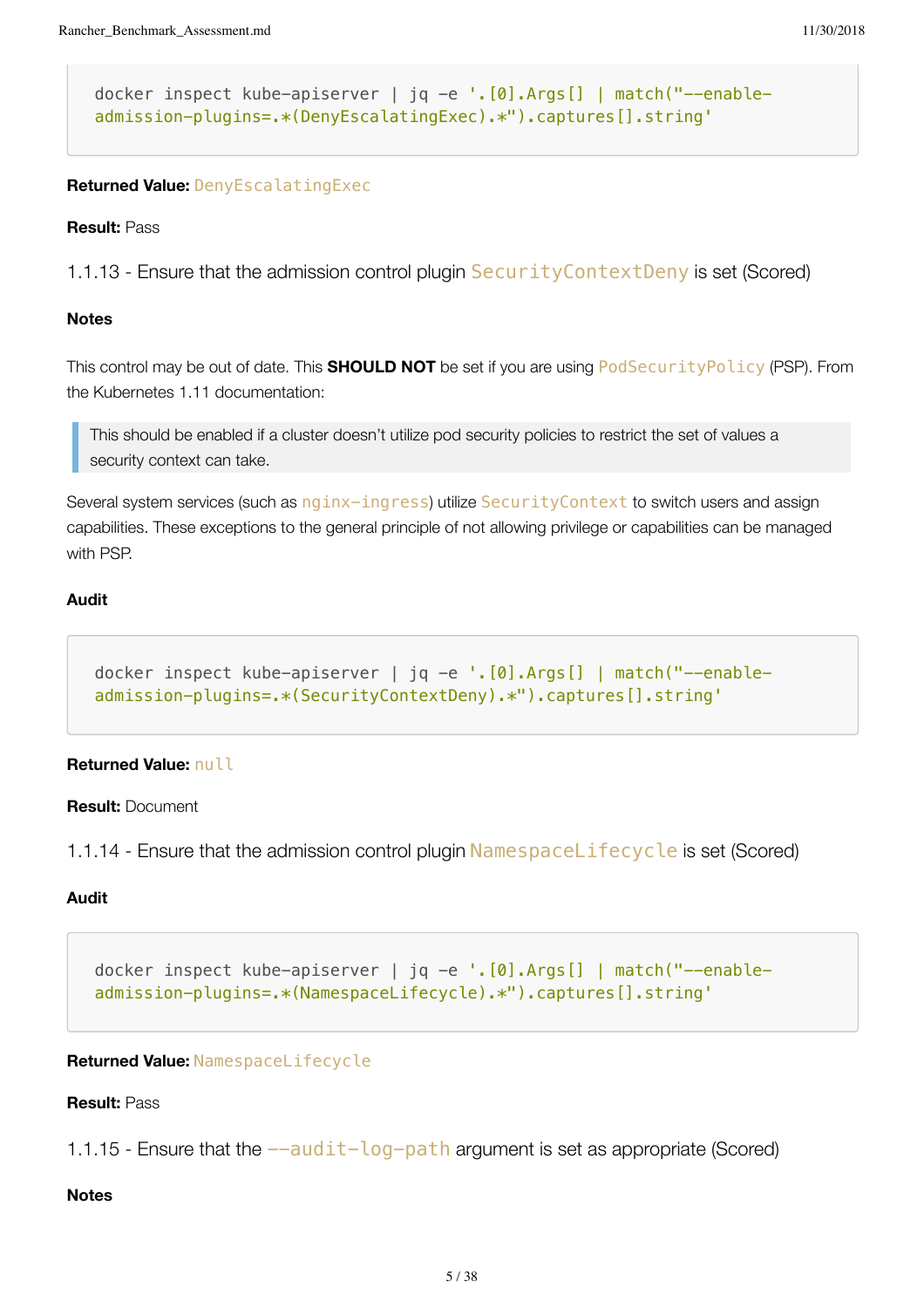```
docker inspect kube-apiserver | jq -e '.[0].Args[] | match("--enable-
admission-plugins=.*(DenyEscalatingExec).*").captures[].string'
```
# **Returned Value:** DenyEscalatingExec

#### **Result:** Pass

1.1.13 - Ensure that the admission control plugin SecurityContextDeny is set (Scored)

### **Notes**

This control may be out of date. This **SHOULD NOT** be set if you are using PodSecurityPolicy (PSP). From the Kubernetes 1.11 documentation:

This should be enabled if a cluster doesn't utilize pod security policies to restrict the set of values a security context can take.

Several system services (such as nginx-ingress) utilize SecurityContext to switch users and assign capabilities. These exceptions to the general principle of not allowing privilege or capabilities can be managed with PSP.

# **Audit**

```
docker inspect kube-apiserver | jq -e '. [0]. Args[] | match("--enable-
admission-plugins=.*(SecurityContextDeny).*").captures[].string'
```
#### **Returned Value:** null

**Result:** Document

1.1.14 - Ensure that the admission control plugin NamespaceLifecycle is set (Scored)

#### **Audit**

docker inspect kube-apiserver | jq -e '.[0].Args[] | match("--enableadmission-plugins=.\*(NamespaceLifecycle).\*").captures[].string'

#### **Returned Value:** NamespaceLifecycle

#### **Result:** Pass

1.1.15 - Ensure that the  $-$ -audit-log-path argument is set as appropriate (Scored)

#### **Notes**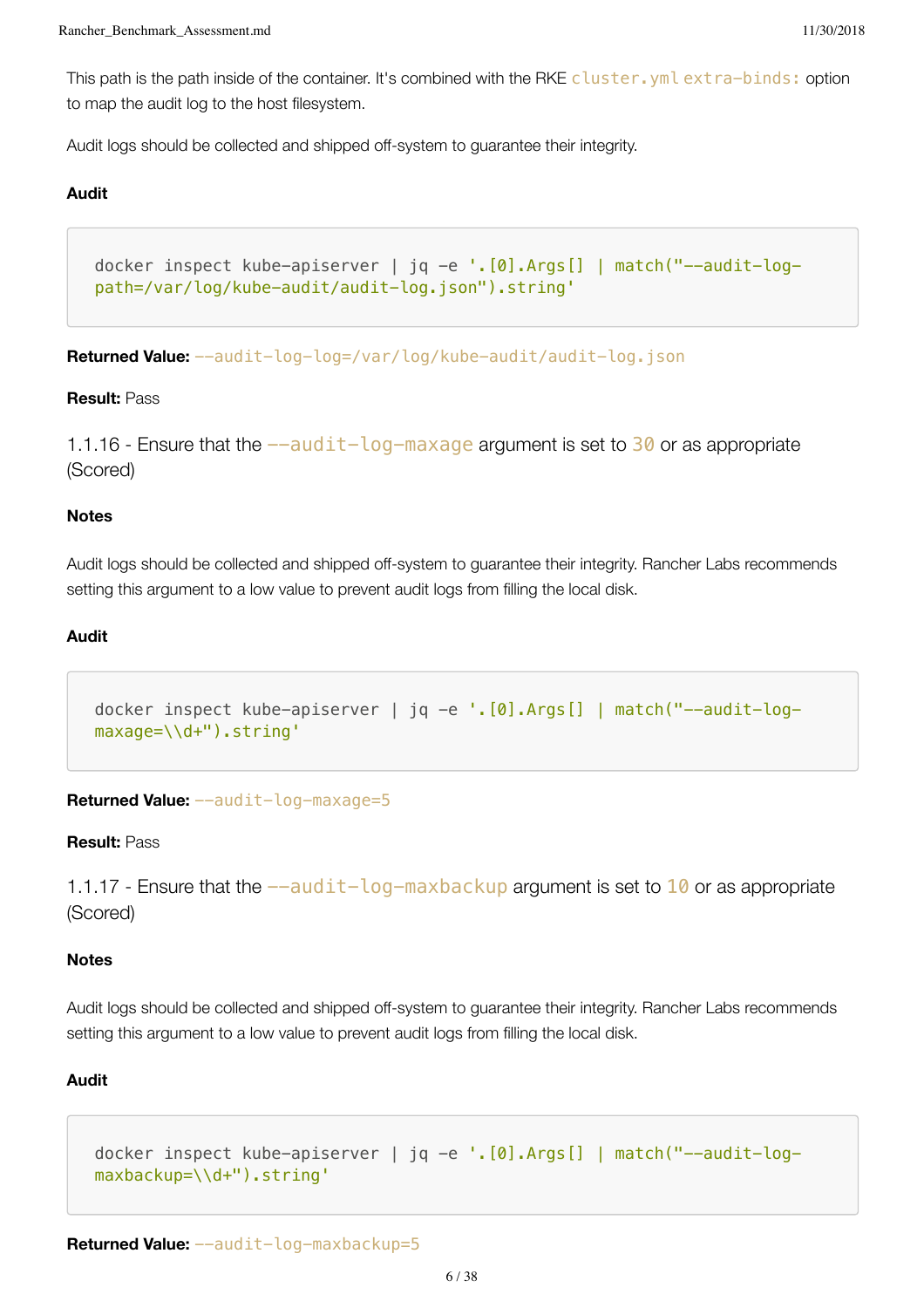This path is the path inside of the container. It's combined with the RKE cluster. yml extra-binds: option to map the audit log to the host filesystem.

Audit logs should be collected and shipped off-system to guarantee their integrity.

#### **Audit**

```
docker inspect kube-apiserver | jq -e '.[0].Args[] | match("--audit-log-
path=/var/log/kube-audit/audit-log.json").string'
```

```
Returned Value: --audit-log-log=/var/log/kube-audit/audit-log.json
```
### **Result:** Pass

1.1.16 - Ensure that the  $-\alpha$ udit-log-maxage argument is set to 30 or as appropriate (Scored)

#### **Notes**

Audit logs should be collected and shipped off-system to guarantee their integrity. Rancher Labs recommends setting this argument to a low value to prevent audit logs from filling the local disk.

#### **Audit**

```
docker inspect kube-apiserver | jq -e '.[0].Args[] | match("--audit-log-
maxage=\\d+").string'
```
**Returned Value:** --audit-log-maxage=5

#### **Result:** Pass

1.1.17 - Ensure that the  $-\alpha$ udit-log-maxbackup argument is set to  $10$  or as appropriate (Scored)

#### **Notes**

Audit logs should be collected and shipped off-system to guarantee their integrity. Rancher Labs recommends setting this argument to a low value to prevent audit logs from filling the local disk.

```
docker inspect kube-apiserver | jq -e '.[0].Args[] | match("--audit-log-
maxbackup=\\d+").string'
```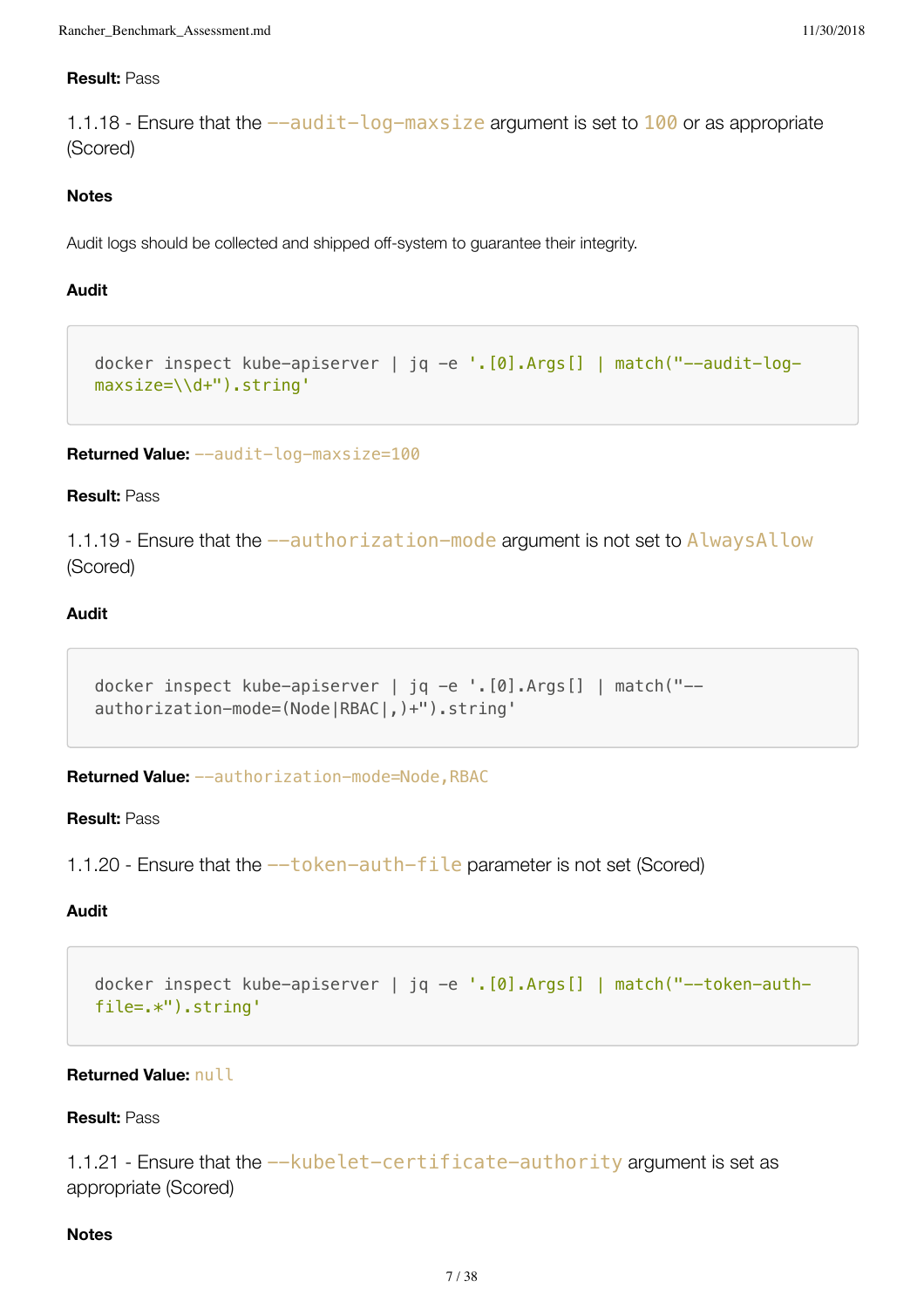# **Result:** Pass

1.1.18 - Ensure that the  $-\alpha$ udit-log-maxsize argument is set to  $100$  or as appropriate (Scored)

# **Notes**

Audit logs should be collected and shipped off-system to guarantee their integrity.

# **Audit**

```
docker inspect kube-apiserver | jq -e '.[0].Args[] | match("--audit-log-
maxsize=\\d+").string'
```

```
Returned Value: --audit-log-maxsize=100
```
# **Result:** Pass

1.1.19 - Ensure that the  $-$ -authorization-mode argument is not set to AlwaysAllow (Scored)

# **Audit**

```
docker inspect kube-apiserver | jq -e '.[0].Args[] | match("--
authorization-mode=(Node|RBAC|,)+").string'
```
**Returned Value:** --authorization-mode=Node,RBAC

## **Result:** Pass

1.1.20 - Ensure that the  $-\text{token}-\text{auth}-\text{file}$  parameter is not set (Scored)

# **Audit**

```
docker inspect kube-apiserver | jq -e '.[0].Args[] | match("--token-auth-
file=.*").string'
```
# **Returned Value:** null

# **Result:** Pass

1.1.21 - Ensure that the --kubelet-certificate-authority argument is set as appropriate (Scored)

# **Notes**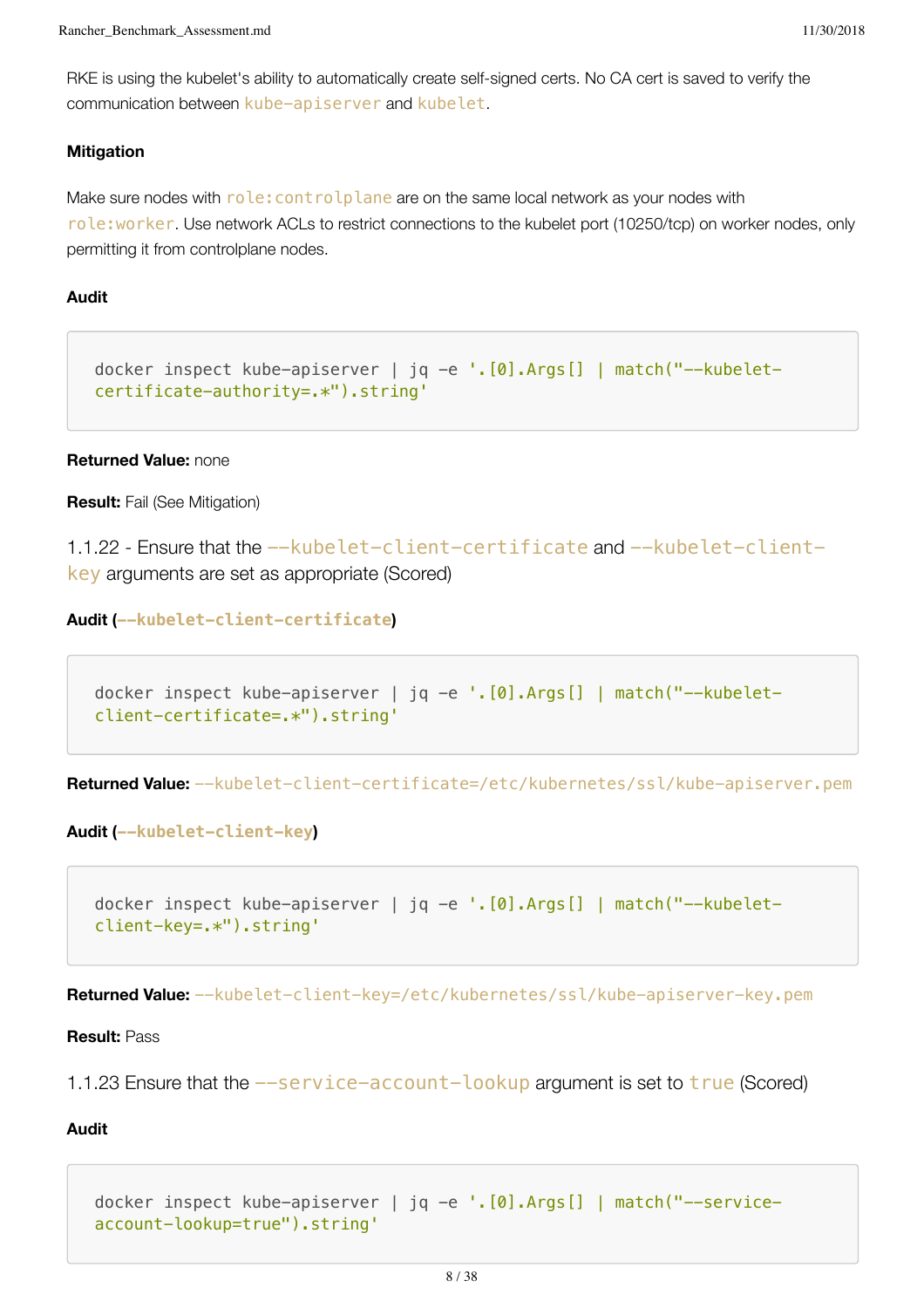RKE is using the kubelet's ability to automatically create self-signed certs. No CA cert is saved to verify the communication between kube-apiserver and kubelet.

#### **Mitigation**

Make sure nodes with  $role:controlplane$  are on the same local network as your nodes with role:worker. Use network ACLs to restrict connections to the kubelet port (10250/tcp) on worker nodes, only permitting it from controlplane nodes.

# **Audit**

```
docker inspect kube-apiserver | jq -e '.[0].Args[] | match("--kubelet-
certificate-authority=.*").string'
```
#### **Returned Value:** none

**Result:** Fail (See Mitigation)

1.1.22 - Ensure that the --kubelet-client-certificate and --kubelet-clientkey arguments are set as appropriate (Scored)

**Audit (--kubelet-client-certificate)**

docker inspect kube-apiserver | jq -e '.[0].Args[] | match("--kubeletclient-certificate=.\*").string'

**Returned Value:** --kubelet-client-certificate=/etc/kubernetes/ssl/kube-apiserver.pem

**Audit (--kubelet-client-key)**

```
docker inspect kube-apiserver | jq -e '.[0].Args[] | match("--kubelet-
client-key=.*").string'
```
**Returned Value:** --kubelet-client-key=/etc/kubernetes/ssl/kube-apiserver-key.pem

#### **Result:** Pass

1.1.23 Ensure that the  $-$ service-account-lookup argument is set to true (Scored)

#### **Audit**

docker inspect kube-apiserver | jq -e '.[0].Args[] | match("--serviceaccount-lookup=true").string'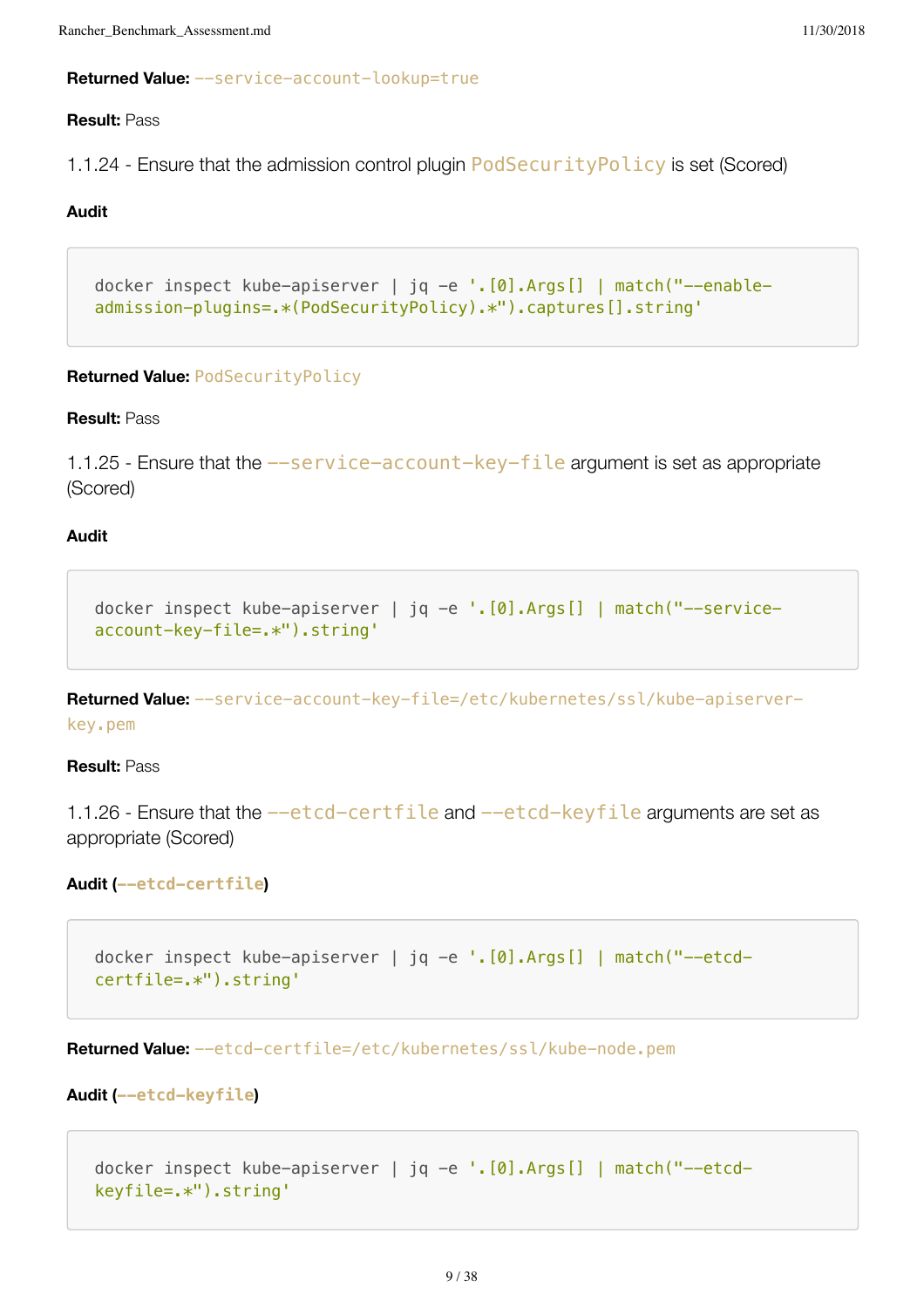```
Rancher_Benchmark_Assessment.md 11/30/2018
```
# **Returned Value:** --service-account-lookup=true

# **Result:** Pass

1.1.24 - Ensure that the admission control plugin PodSecurityPolicy is set (Scored)

# **Audit**

```
docker inspect kube-apiserver | jq -e '.[0].Args[] | match("--enable-
admission-plugins=.*(PodSecurityPolicy).*").captures[].string'
```
# **Returned Value:** PodSecurityPolicy

# **Result:** Pass

1.1.25 - Ensure that the  $-$ -service-account-key-file argument is set as appropriate (Scored)

# **Audit**

```
docker inspect kube-apiserver | jq -e '.[0].Args[] | match("--service-
account-key-file=.*").string'
```
**Returned Value:** --service-account-key-file=/etc/kubernetes/ssl/kube-apiserverkey.pem

## **Result:** Pass

1.1.26 - Ensure that the --etcd-certfile and --etcd-keyfile arguments are set as appropriate (Scored)

# **Audit (--etcd-certfile)**

```
docker inspect kube-apiserver | jq -e '.[0].Args[] | match("--etcd-
certfile=.*").string'
```
**Returned Value:** --etcd-certfile=/etc/kubernetes/ssl/kube-node.pem

```
Audit (--etcd-keyfile)
```

```
docker inspect kube-apiserver | jq -e '.[0].Args[] | match("--etcd-
keyfile=.*").string'
```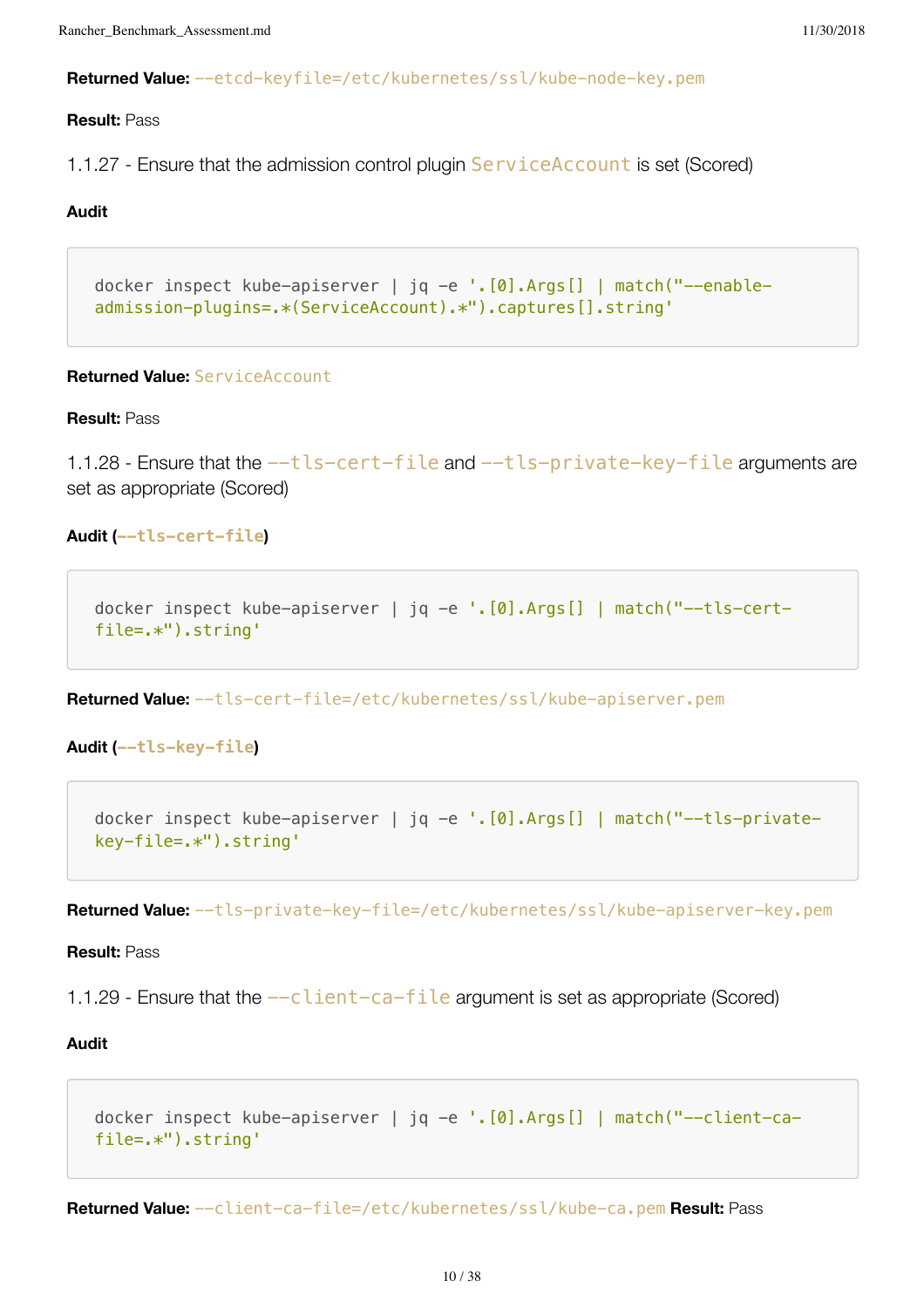```
Rancher_Benchmark_Assessment.md 11/30/2018
```
**Returned Value:** --etcd-keyfile=/etc/kubernetes/ssl/kube-node-key.pem

# **Result:** Pass

1.1.27 - Ensure that the admission control plugin ServiceAccount is set (Scored)

# **Audit**

```
docker inspect kube-apiserver | jq -e '.[0].Args[] | match("--enable-
admission-plugins=.*(ServiceAccount).*").captures[].string'
```
# **Returned Value:** ServiceAccount

#### **Result:** Pass

1.1.28 - Ensure that the  $-$ tls-cert-file and  $-$ tls-private-key-file arguments are set as appropriate (Scored)

# **Audit (--tls-cert-file)**

```
docker inspect kube-apiserver | jq -e '.[0].Args[] | match("--tls-cert-
file=.*").string'
```
**Returned Value:** --tls-cert-file=/etc/kubernetes/ssl/kube-apiserver.pem

```
Audit (--tls-key-file)
```

```
docker inspect kube-apiserver | jq -e '.[0].Args[] | match("--tls-private-
key-file=.*").string'
```
**Returned Value:** --tls-private-key-file=/etc/kubernetes/ssl/kube-apiserver-key.pem

## **Result:** Pass

1.1.29 - Ensure that the  $-c$  lient-ca-file argument is set as appropriate (Scored)

## **Audit**

```
docker inspect kube-apiserver | jq -e '.[0].Args[] | match("--client-ca-
file=.*").string'
```
**Returned Value:** --client-ca-file=/etc/kubernetes/ssl/kube-ca.pem **Result:** Pass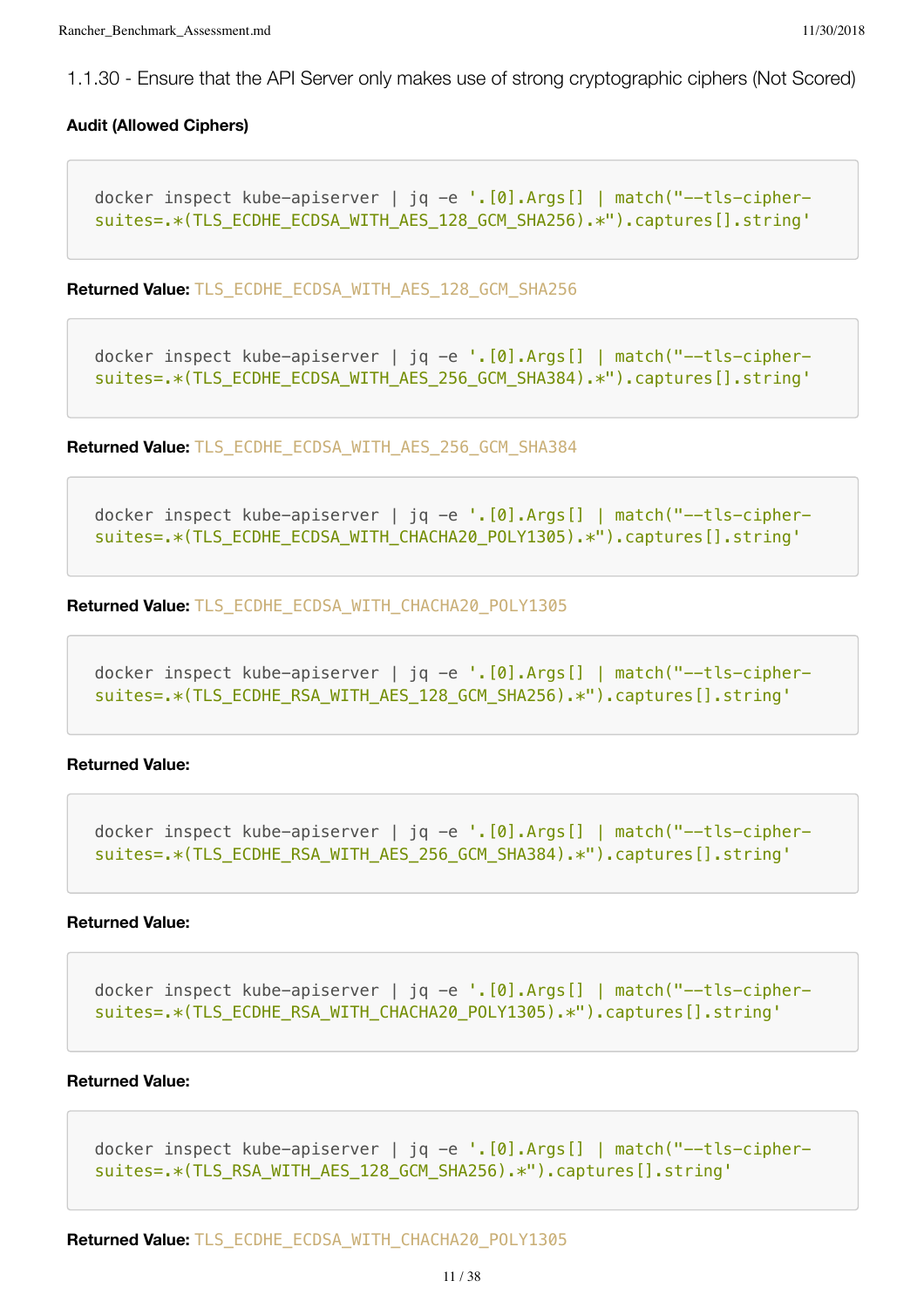1.1.30 - Ensure that the API Server only makes use of strong cryptographic ciphers (Not Scored)

#### **Audit (Allowed Ciphers)**

```
docker inspect kube-apiserver | jq -e '.[0].Args[] | match("--tls-cipher-
suites=.*(TLS_ECDHE_ECDSA_WITH_AES_128_GCM_SHA256).*").captures[].string'
```
**Returned Value:** TLS\_ECDHE\_ECDSA\_WITH\_AES\_128\_GCM\_SHA256

```
docker inspect kube-apiserver | jq -e '.[0].Args[] | match("--tls-cipher-
suites=.*(TLS_ECDHE_ECDSA_WITH_AES_256_GCM_SHA384).*").captures[].string'
```
**Returned Value:** TLS\_ECDHE\_ECDSA\_WITH\_AES\_256\_GCM\_SHA384

```
docker inspect kube-apiserver | jq -e '.[0].Args[] | match("--tls-cipher-
suites=.*(TLS_ECDHE_ECDSA_WITH_CHACHA20_POLY1305).*").captures[].string'
```
**Returned Value:** TLS\_ECDHE\_ECDSA\_WITH\_CHACHA20\_POLY1305

```
docker inspect kube-apiserver | jq -e '.[0].Args[] | match("--tls-cipher-
suites=.*(TLS_ECDHE_RSA_WITH_AES_128_GCM_SHA256).*").captures[].string'
```
#### **Returned Value:**

```
docker inspect kube-apiserver | jq -e '.[0].Args[] | match("--tls-cipher-
suites=.*(TLS_ECDHE_RSA_WITH_AES_256_GCM_SHA384).*").captures[].string'
```
#### **Returned Value:**

```
docker inspect kube-apiserver | jq -e '.[0].Args[] | match("--tls-cipher-
suites=.*(TLS_ECDHE_RSA_WITH_CHACHA20_POLY1305).*").captures[].string'
```
#### **Returned Value:**

```
docker inspect kube-apiserver | jq -e '. [0]. Args[] | match("--tls-cipher-
suites=.*(TLS_RSA_WITH_AES_128_GCM_SHA256).*").captures[].string'
```
**Returned Value:** TLS\_ECDHE\_ECDSA\_WITH\_CHACHA20\_POLY1305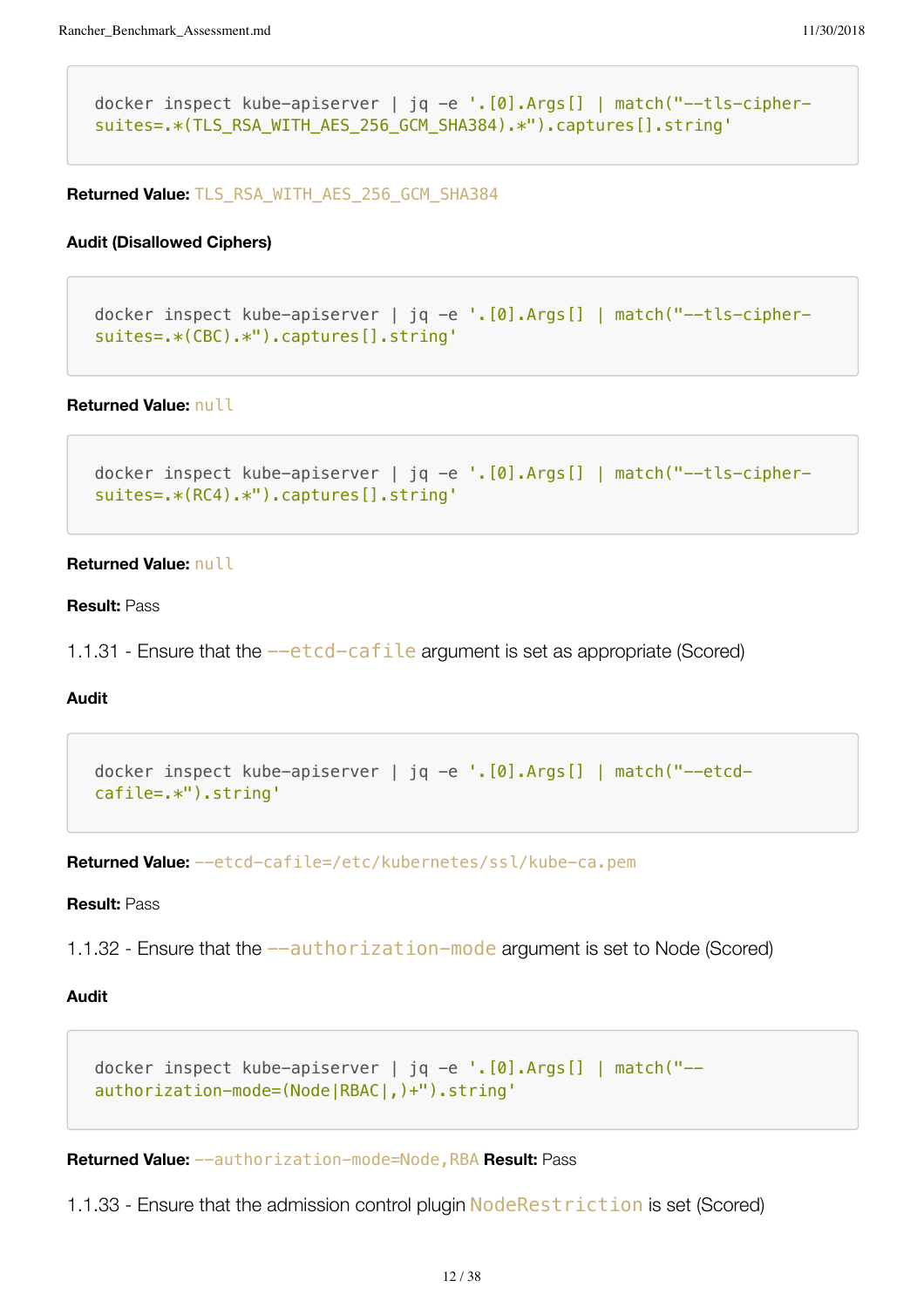```
docker inspect kube-apiserver | jq -e '.[0].Args[] | match("--tls-cipher-
suites=.*(TLS_RSA_WITH_AES_256_GCM_SHA384).*").captures[].string'
```
**Returned Value:** TLS\_RSA\_WITH\_AES\_256\_GCM\_SHA384

#### **Audit (Disallowed Ciphers)**

```
docker inspect kube-apiserver | jq -e '.[0].Args[] | match("--tls-cipher-
suites=.*(CBC).*").captures[].string'
```
#### **Returned Value:** null

```
docker inspect kube-apiserver | jq -e '.[0].Args[] | match("--tls-cipher-
suites=.*(RC4).*").captures[].string'
```
#### **Returned Value:** null

#### **Result:** Pass

1.1.31 - Ensure that the  $-\text{etcd-cafile}$  argument is set as appropriate (Scored)

#### **Audit**

```
docker inspect kube-apiserver | jq -e '.[0].Args[] | match("--etcd-
cafile=.*").string'
```
**Returned Value:** --etcd-cafile=/etc/kubernetes/ssl/kube-ca.pem

#### **Result:** Pass

1.1.32 - Ensure that the  $-$ -authorization-mode argument is set to Node (Scored)

# **Audit**

```
docker inspect kube-apiserver | jq -e '.[0].Args[] | match("--
authorization-mode=(Node|RBAC|,)+").string'
```
**Returned Value:** --authorization-mode=Node,RBA **Result:** Pass

1.1.33 - Ensure that the admission control plugin NodeRestriction is set (Scored)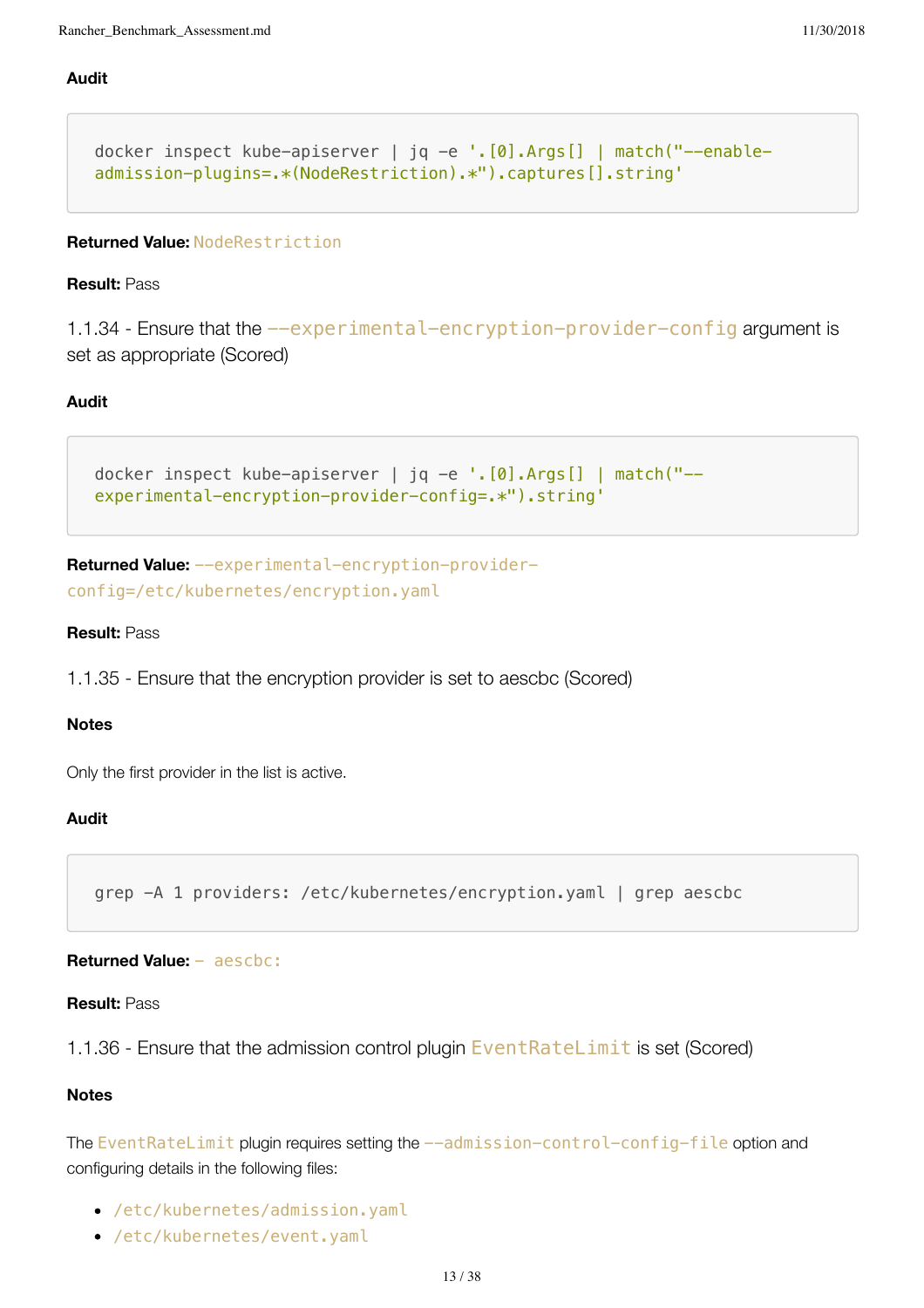# **Audit**

```
docker inspect kube-apiserver | jq -e '.[0].Args[] | match("--enable-
admission-plugins=.*(NodeRestriction).*").captures[].string'
```
# **Returned Value:** NodeRestriction

#### **Result:** Pass

1.1.34 - Ensure that the --experimental-encryption-provider-config argument is set as appropriate (Scored)

# **Audit**

```
docker inspect kube-apiserver | jq -e '.[0].Args[] | match("--
experimental-encryption-provider-config=.*").string'
```

```
Returned Value: --experimental-encryption-provider-
config=/etc/kubernetes/encryption.yaml
```
#### **Result:** Pass

1.1.35 - Ensure that the encryption provider is set to aescbc (Scored)

#### **Notes**

Only the first provider in the list is active.

#### **Audit**

```
grep -A 1 providers: /etc/kubernetes/encryption.yaml | grep aescbc
```
# **Returned Value:** - aescbc:

#### **Result:** Pass

1.1.36 - Ensure that the admission control plugin EventRateLimit is set (Scored)

#### **Notes**

The EventRateLimit plugin requires setting the --admission-control-config-file option and configuring details in the following files:

- /etc/kubernetes/admission.yaml
- /etc/kubernetes/event.yaml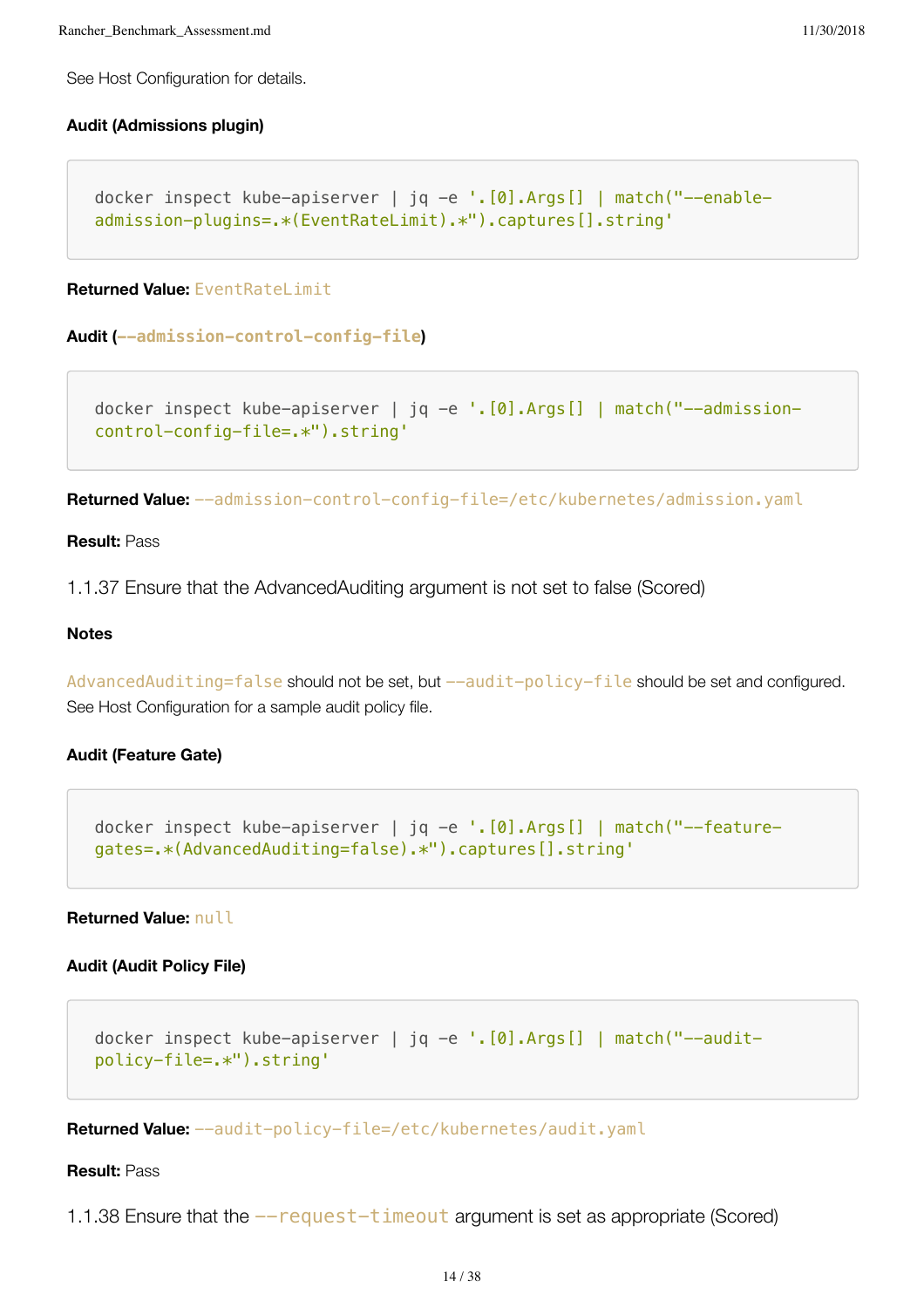See Host Configuration for details.

#### **Audit (Admissions plugin)**

```
docker inspect kube-apiserver | jq -e '.[0].Args[] | match("--enable-
admission-plugins=.*(EventRateLimit).*").captures[].string'
```
**Returned Value:** EventRateLimit

```
Audit (--admission-control-config-file)
```
docker inspect kube-apiserver | jq -e '. [0]. Args [] | match("--admissioncontrol-config-file=.\*").string'

**Returned Value:** --admission-control-config-file=/etc/kubernetes/admission.yaml

#### **Result:** Pass

1.1.37 Ensure that the AdvancedAuditing argument is not set to false (Scored)

## **Notes**

AdvancedAuditing=false should not be set, but --audit-policy-file should be set and configured. See Host Configuration for a sample audit policy file.

# **Audit (Feature Gate)**

```
docker inspect kube-apiserver | jq -e '.[0].Args[] | match("--feature-
gates=.*(AdvancedAuditing=false).*").captures[].string'
```
#### **Returned Value:** null

# **Audit (Audit Policy File)**

```
docker inspect kube-apiserver | jq -e '.[0].Args[] | match("--audit-
policy-file=.*").string'
```
**Returned Value:** --audit-policy-file=/etc/kubernetes/audit.yaml

# **Result:** Pass

1.1.38 Ensure that the --request-timeout argument is set as appropriate (Scored)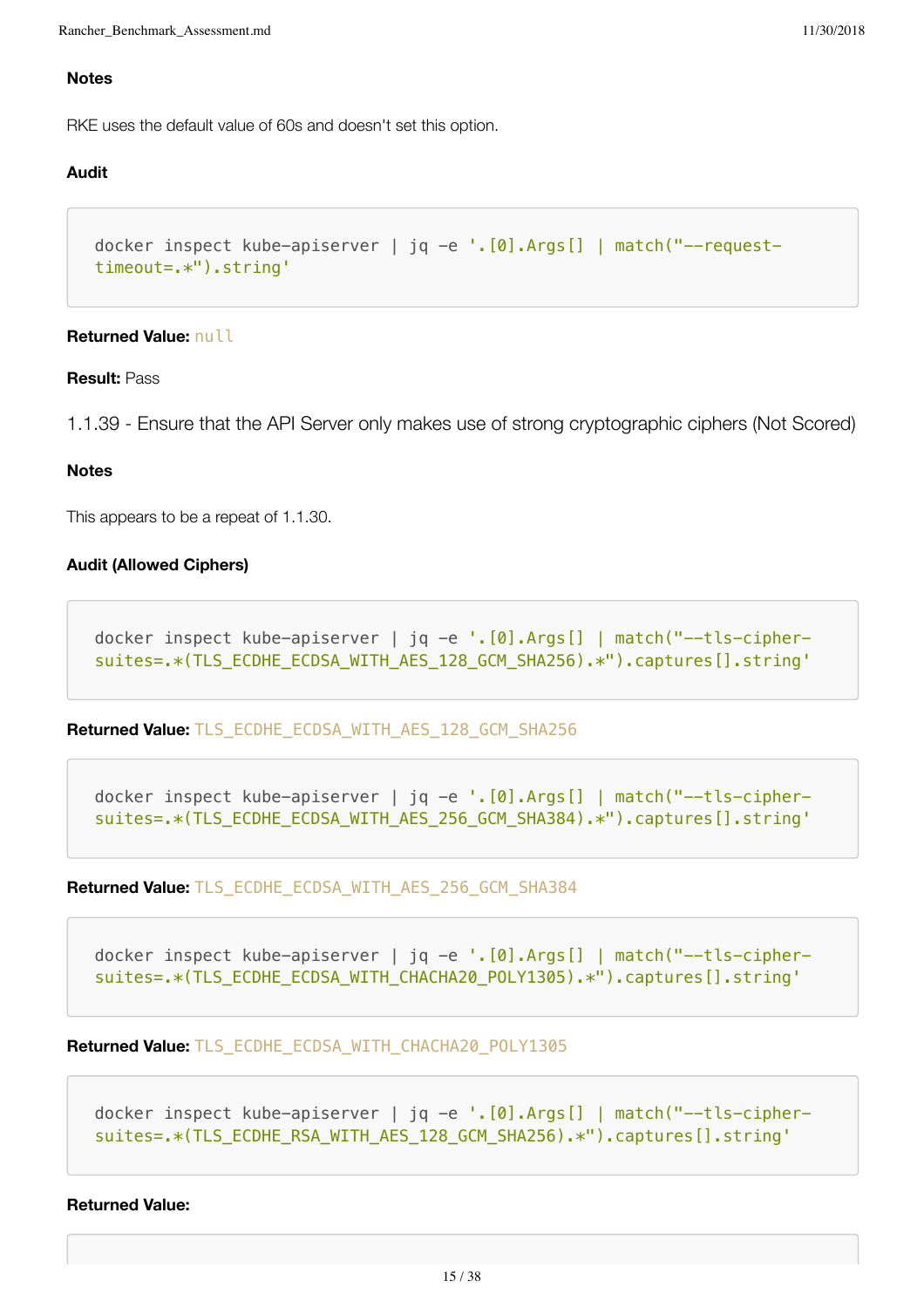#### **Notes**

RKE uses the default value of 60s and doesn't set this option.

#### **Audit**

```
docker inspect kube-apiserver | jq -e '.[0].Args[] | match("--request-
timeout=.*").string'
```
#### **Returned Value:** null

#### **Result:** Pass

1.1.39 - Ensure that the API Server only makes use of strong cryptographic ciphers (Not Scored)

#### **Notes**

This appears to be a repeat of 1.1.30.

# **Audit (Allowed Ciphers)**

```
docker inspect kube-apiserver | jq -e '.[0].Args[] | match("--tls-cipher-
suites=.*(TLS_ECDHE_ECDSA_WITH_AES_128_GCM_SHA256).*").captures[].string'
```
**Returned Value:** TLS\_ECDHE\_ECDSA\_WITH\_AES\_128\_GCM\_SHA256

```
docker inspect kube-apiserver | jq -e '.[0].Args[] | match("--tls-cipher-
suites=.*(TLS_ECDHE_ECDSA_WITH_AES_256_GCM_SHA384).*").captures[].string'
```
**Returned Value:** TLS\_ECDHE\_ECDSA\_WITH\_AES\_256\_GCM\_SHA384

```
docker inspect kube-apiserver | jq -e '.[0].Args[] | match("--tls-cipher-
suites=.*(TLS_ECDHE_ECDSA_WITH_CHACHA20_POLY1305).*").captures[].string'
```
**Returned Value:** TLS\_ECDHE\_ECDSA\_WITH\_CHACHA20\_POLY1305

```
docker inspect kube-apiserver | jq -e '.[0].Args[] | match("--tls-cipher-
suites=.*(TLS_ECDHE_RSA_WITH_AES_128_GCM_SHA256).*").captures[].string'
```
#### **Returned Value:**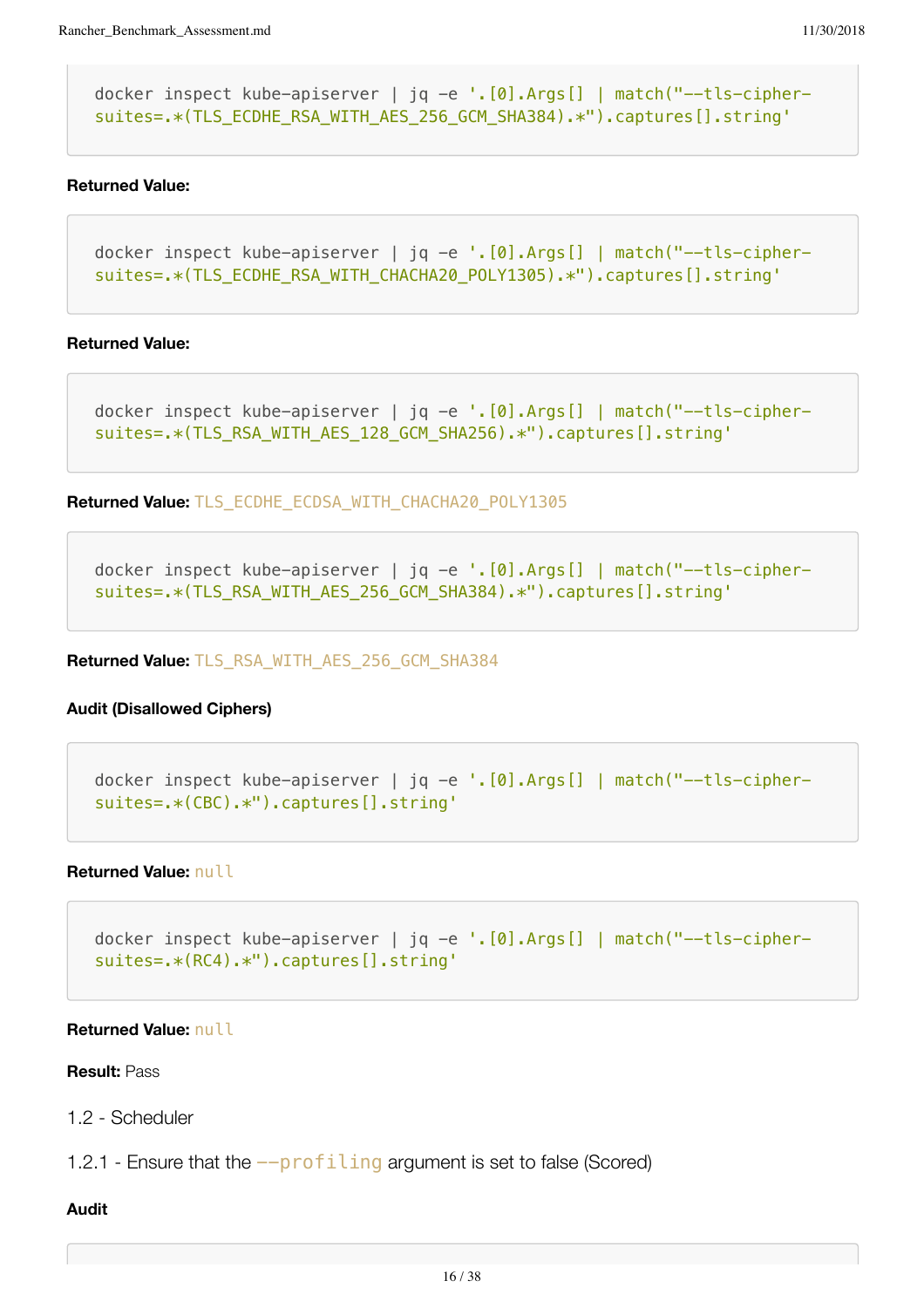docker inspect kube-apiserver | jq -e '. [0]. Args [] | match ("--tls-ciphersuites=.\*(TLS\_ECDHE\_RSA\_WITH\_AES\_256\_GCM\_SHA384).\*").captures[].string'

#### **Returned Value:**

```
docker inspect kube-apiserver | jq -e '.[0].Args[] | match("--tls-cipher-
suites=.*(TLS_ECDHE_RSA_WITH_CHACHA20_POLY1305).*").captures[].string'
```
#### **Returned Value:**

```
docker inspect kube-apiserver | jq -e '.[0].Args[] | match("--tls-cipher-
suites=.*(TLS_RSA_WITH_AES_128_GCM_SHA256).*").captures[].string'
```
**Returned Value:** TLS\_ECDHE\_ECDSA\_WITH\_CHACHA20\_POLY1305

docker inspect kube-apiserver | jq -e '.[0].Args[] | match("--tls-ciphersuites=.\*(TLS\_RSA\_WITH\_AES\_256\_GCM\_SHA384).\*").captures[].string'

**Returned Value:** TLS\_RSA\_WITH\_AES\_256\_GCM\_SHA384

# **Audit (Disallowed Ciphers)**

docker inspect kube-apiserver | jq -e '.[0].Args[] | match("--tls-ciphersuites=.\*(CBC).\*").captures[].string'

#### **Returned Value:** null

```
docker inspect kube-apiserver | jq -e '.[0].Args[] | match("--tls-cipher-
suites=.*(RC4).*").captures[].string'
```
## **Returned Value:** null

# **Result:** Pass

1.2 - Scheduler

1.2.1 - Ensure that the --profiling argument is set to false (Scored)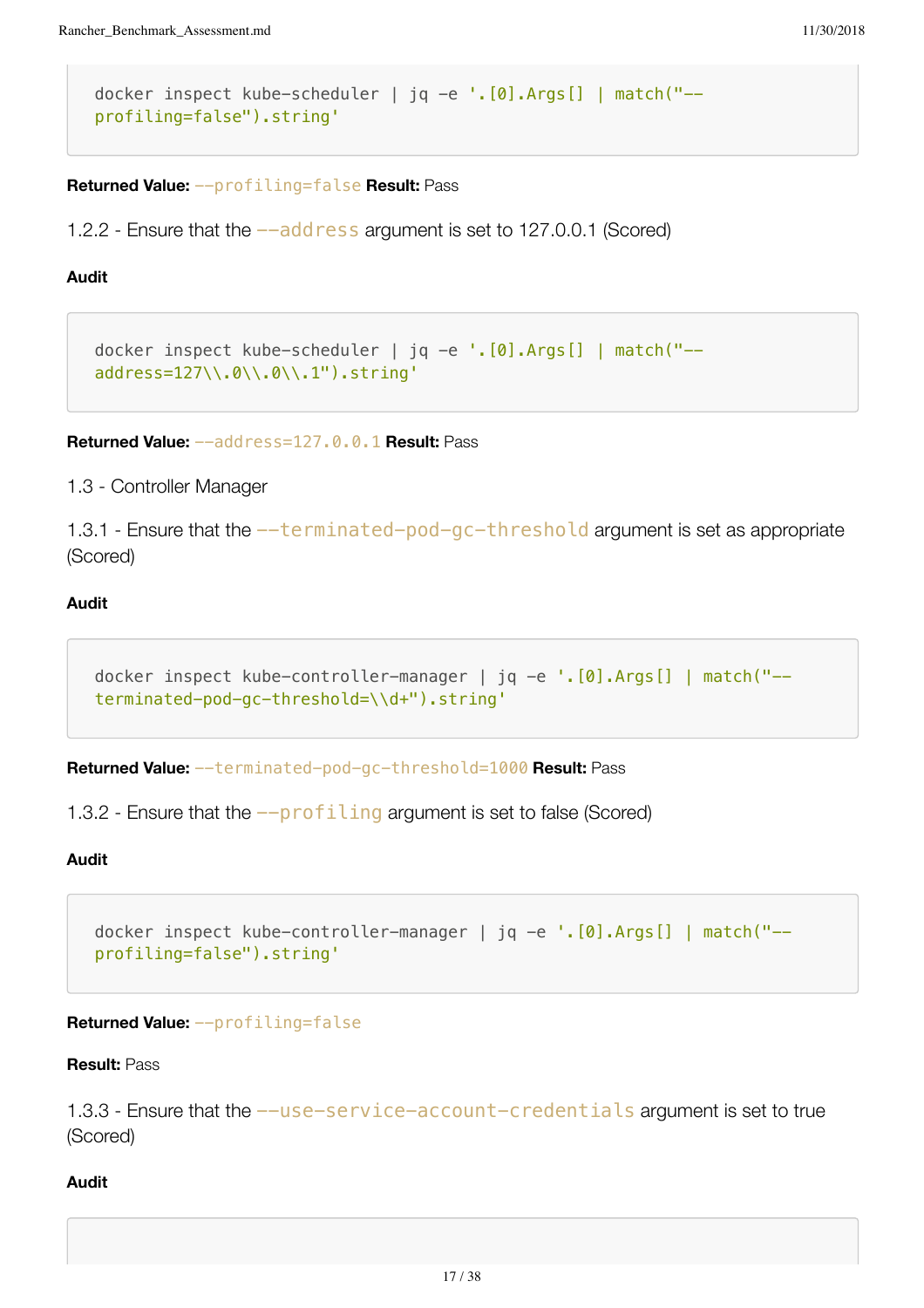```
docker inspect kube-scheduler | jq -e '.[0].Args[] | match("--
profiling=false").string'
```
**Returned Value:** --profiling=false **Result:** Pass

1.2.2 - Ensure that the  $-\frac{1}{d}$  ress argument is set to 127.0.0.1 (Scored)

## **Audit**

```
docker inspect kube-scheduler | jq -e '.[0].Args[] | match("--
address=127\\.0\\.0\\.1").string'
```
**Returned Value:** --address=127.0.0.1 **Result:** Pass

1.3 - Controller Manager

1.3.1 - Ensure that the --terminated-pod-gc-threshold argument is set as appropriate (Scored)

# **Audit**

```
docker inspect kube-controller-manager | jq -e '.[0].Args[] | match("--
terminated-pod-gc-threshold=\\d+").string'
```
**Returned Value:** --terminated-pod-gc-threshold=1000 **Result:** Pass

1.3.2 - Ensure that the  $-\text{profiting}$  argument is set to false (Scored)

# **Audit**

```
docker inspect kube-controller-manager | jq -e '.[0].Args[] | match("--
profiling=false").string'
```
### **Returned Value:** --profiling=false

#### **Result:** Pass

1.3.3 - Ensure that the  $-$ use-service-account-credentials argument is set to true (Scored)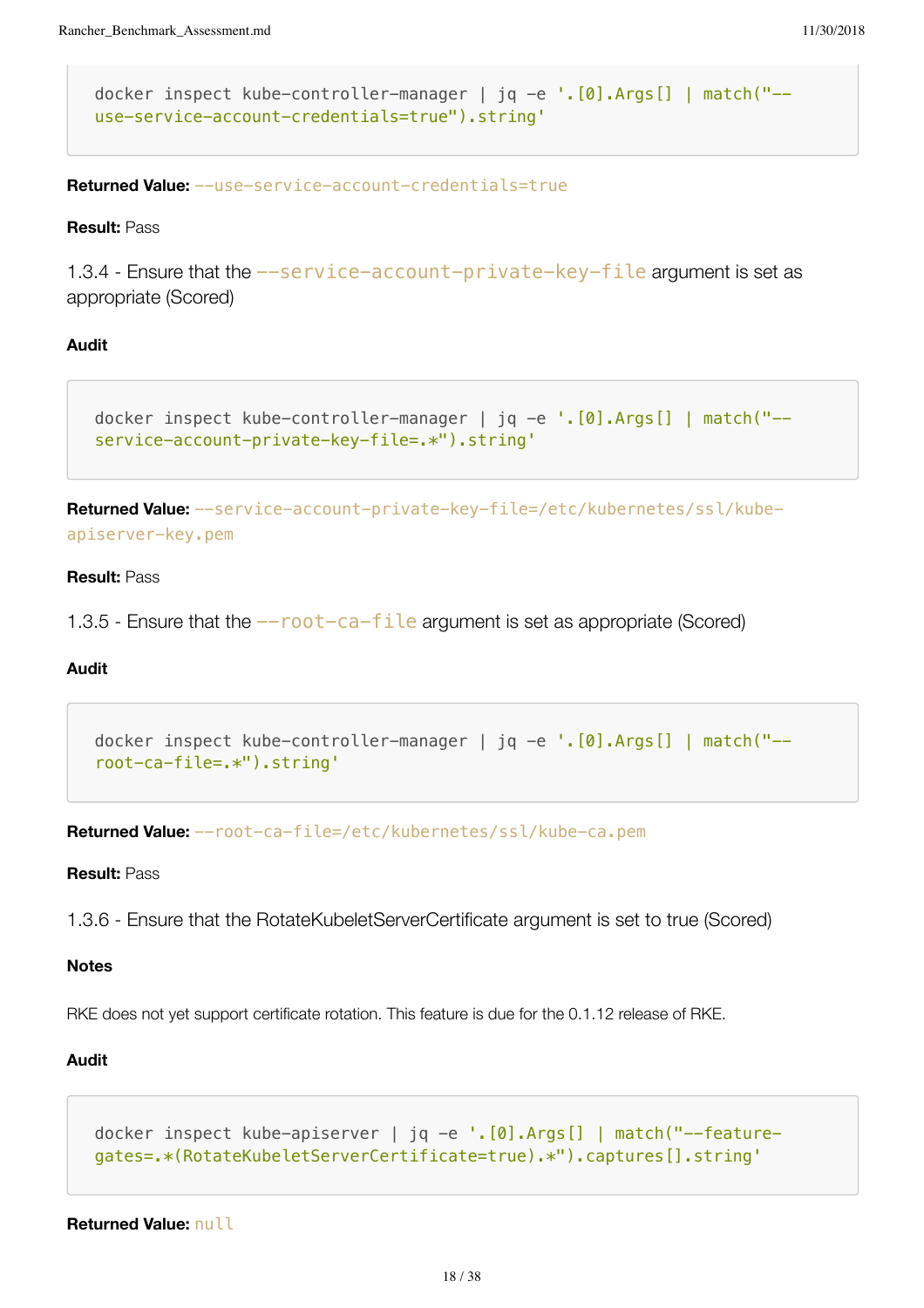```
docker inspect kube-controller-manager | jq -e '.[0].Args[] | match("--
use-service-account-credentials=true").string'
```
**Returned Value:** --use-service-account-credentials=true

**Result:** Pass

1.3.4 - Ensure that the --service-account-private-key-file argument is set as appropriate (Scored)

#### **Audit**

```
docker inspect kube-controller-manager | jq -e '.[0].Args[] | match("--
service-account-private-key-file=.*").string'
```
**Returned Value:** --service-account-private-key-file=/etc/kubernetes/ssl/kubeapiserver-key.pem

#### **Result:** Pass

1.3.5 - Ensure that the  $-$ root-ca-file argument is set as appropriate (Scored)

#### **Audit**

```
docker inspect kube-controller-manager | jq -e '.[0].Args[] | match("--
root-ca-file=.*").string'
```
**Returned Value:** --root-ca-file=/etc/kubernetes/ssl/kube-ca.pem

**Result:** Pass

1.3.6 - Ensure that the RotateKubeletServerCertificate argument is set to true (Scored)

#### **Notes**

RKE does not yet support certificate rotation. This feature is due for the 0.1.12 release of RKE.

#### **Audit**

```
docker inspect kube-apiserver | jq -e '.[0].Args[] | match("--feature-
gates=.*(RotateKubeletServerCertificate=true).*").captures[].string'
```
**Returned Value:** null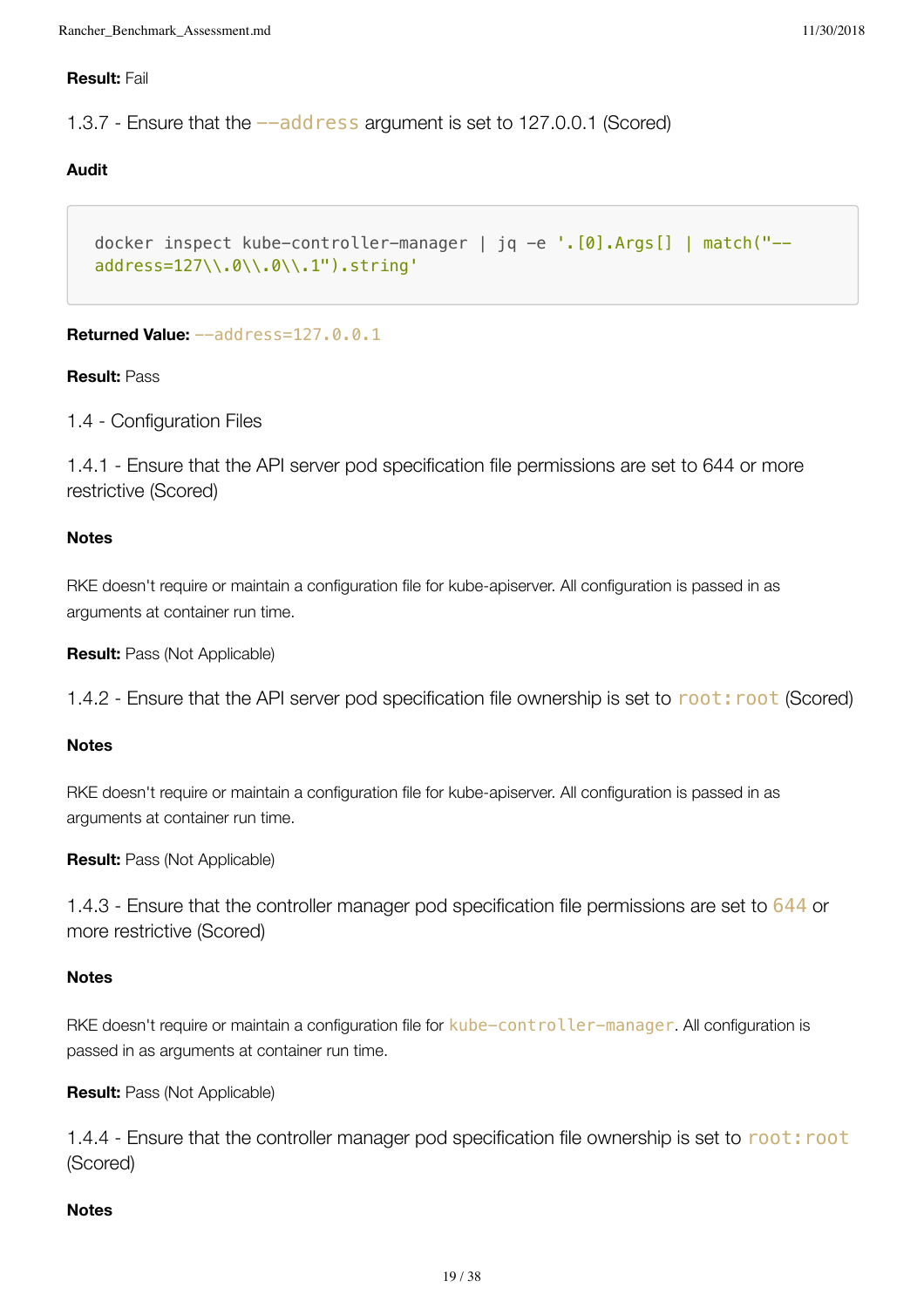# **Result:** Fail

1.3.7 - Ensure that the  $-\text{add}$  ress argument is set to 127.0.0.1 (Scored)

# **Audit**

```
docker inspect kube-controller-manager | jq -e '.[0].Args[] | match("--
address=127\\.0\\.0\\.1").string'
```
# **Returned Value:** --address=127.0.0.1

# **Result:** Pass

1.4 - Configuration Files

1.4.1 - Ensure that the API server pod specification file permissions are set to 644 or more restrictive (Scored)

# **Notes**

RKE doesn't require or maintain a configuration file for kube-apiserver. All configuration is passed in as arguments at container run time.

**Result:** Pass (Not Applicable)

1.4.2 - Ensure that the API server pod specification file ownership is set to root: root (Scored)

# **Notes**

RKE doesn't require or maintain a configuration file for kube-apiserver. All configuration is passed in as arguments at container run time.

**Result:** Pass (Not Applicable)

1.4.3 - Ensure that the controller manager pod specification file permissions are set to 644 or more restrictive (Scored)

# **Notes**

RKE doesn't require or maintain a configuration file for kube-controller-manager. All configuration is passed in as arguments at container run time.

**Result:** Pass (Not Applicable)

1.4.4 - Ensure that the controller manager pod specification file ownership is set to root: root (Scored)

# **Notes**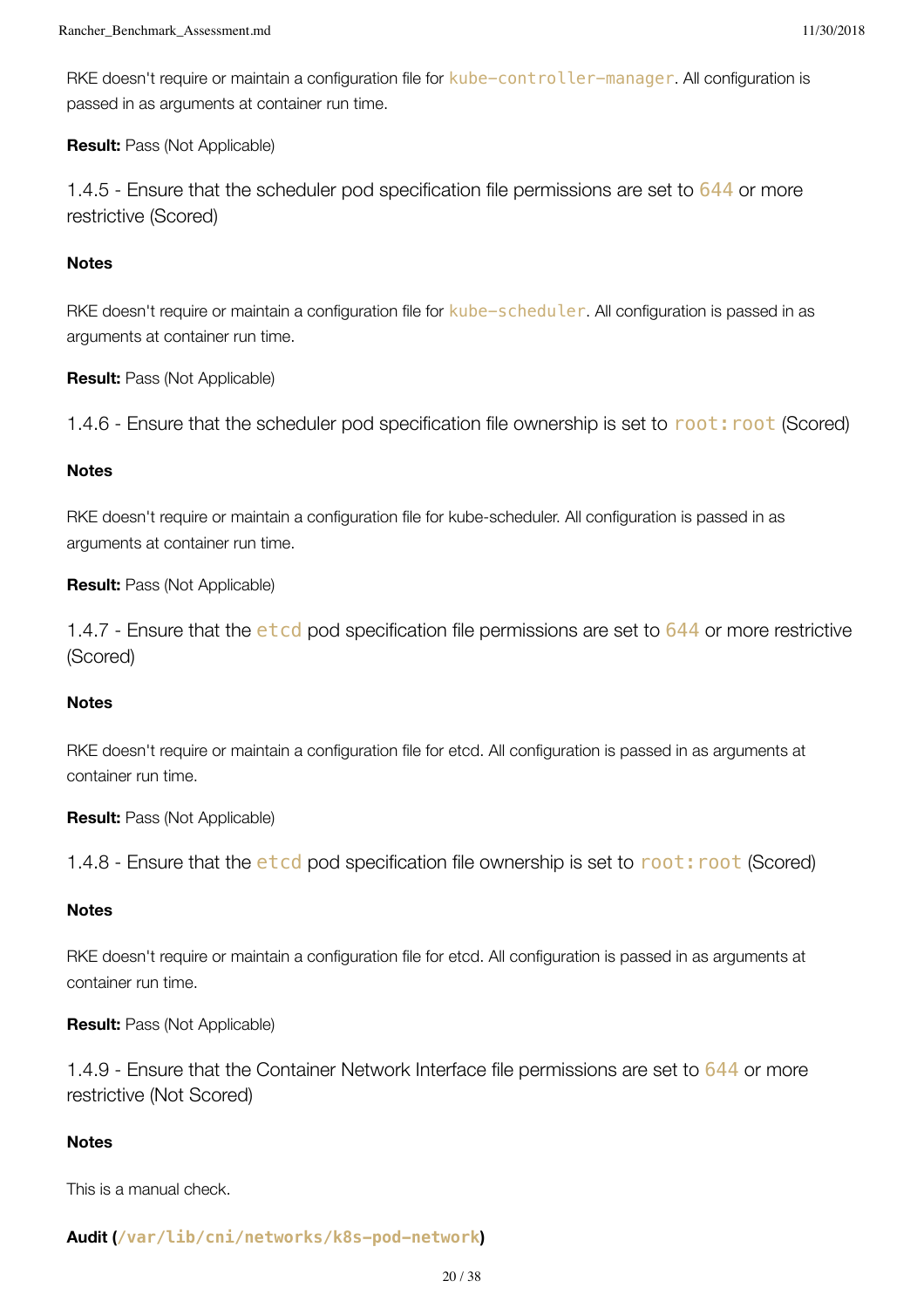RKE doesn't require or maintain a configuration file for kube-controller-manager. All configuration is passed in as arguments at container run time.

# **Result:** Pass (Not Applicable)

1.4.5 - Ensure that the scheduler pod specification file permissions are set to 644 or more restrictive (Scored)

# **Notes**

RKE doesn't require or maintain a configuration file for kube-scheduler. All configuration is passed in as arguments at container run time.

**Result:** Pass (Not Applicable)

1.4.6 - Ensure that the scheduler pod specification file ownership is set to root: root (Scored)

# **Notes**

RKE doesn't require or maintain a configuration file for kube-scheduler. All configuration is passed in as arguments at container run time.

# **Result:** Pass (Not Applicable)

1.4.7 - Ensure that the etcd pod specification file permissions are set to 644 or more restrictive (Scored)

# **Notes**

RKE doesn't require or maintain a configuration file for etcd. All configuration is passed in as arguments at container run time.

**Result:** Pass (Not Applicable)

1.4.8 - Ensure that the etcd pod specification file ownership is set to root: root (Scored)

# **Notes**

RKE doesn't require or maintain a configuration file for etcd. All configuration is passed in as arguments at container run time.

# **Result:** Pass (Not Applicable)

1.4.9 - Ensure that the Container Network Interface file permissions are set to 644 or more restrictive (Not Scored)

# **Notes**

This is a manual check.

# **Audit (/var/lib/cni/networks/k8s-pod-network)**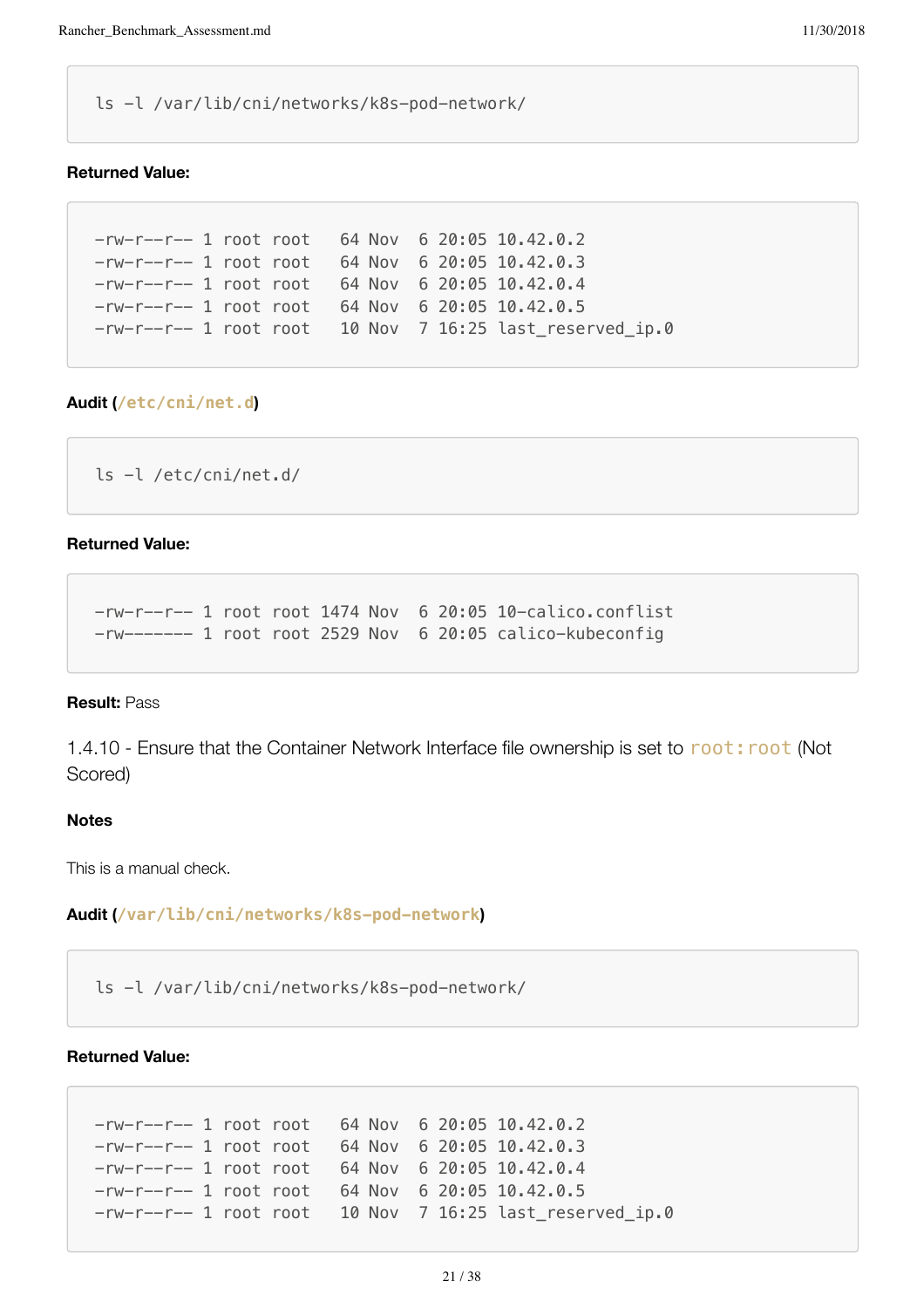ls -l /var/lib/cni/networks/k8s-pod-network/

## **Returned Value:**

```
-rw-r--r-- 1 root root 64 Nov 6 20:05 10.42.0.2
-rw-r--r-- 1 root root 64 Nov 6 20:05 10.42.0.3
-rw-r--r-- 1 root root 64 Nov 6 20:05 10.42.0.4
-rw-r--r-- 1 root root 64 Nov 6 20:05 10.42.0.5
-rw-r--r-- 1 root root 10 Nov 7 16:25 last_reserved_ip.0
```
# **Audit (/etc/cni/net.d)**

```
ls -l /etc/cni/net.d/
```
#### **Returned Value:**

-rw-r--r-- 1 root root 1474 Nov 6 20:05 10-calico.conflist -rw------- 1 root root 2529 Nov 6 20:05 calico-kubeconfig

#### **Result:** Pass

1.4.10 - Ensure that the Container Network Interface file ownership is set to root: root (Not Scored)

#### **Notes**

This is a manual check.

**Audit (/var/lib/cni/networks/k8s-pod-network)**

ls -l /var/lib/cni/networks/k8s-pod-network/

## **Returned Value:**

```
-rw-r--r-- 1 root root 64 Nov 6 20:05 10.42.0.2
-rw-r--r-- 1 root root 64 Nov 6 20:05 10.42.0.3
-rw-r--r-- 1 root root 64 Nov 6 20:05 10.42.0.4
-rw-r--r-- 1 root root 64 Nov 6 20:05 10.42.0.5
-rw-r--r-- 1 root root 10 Nov 7 16:25 last_reserved_ip.0
```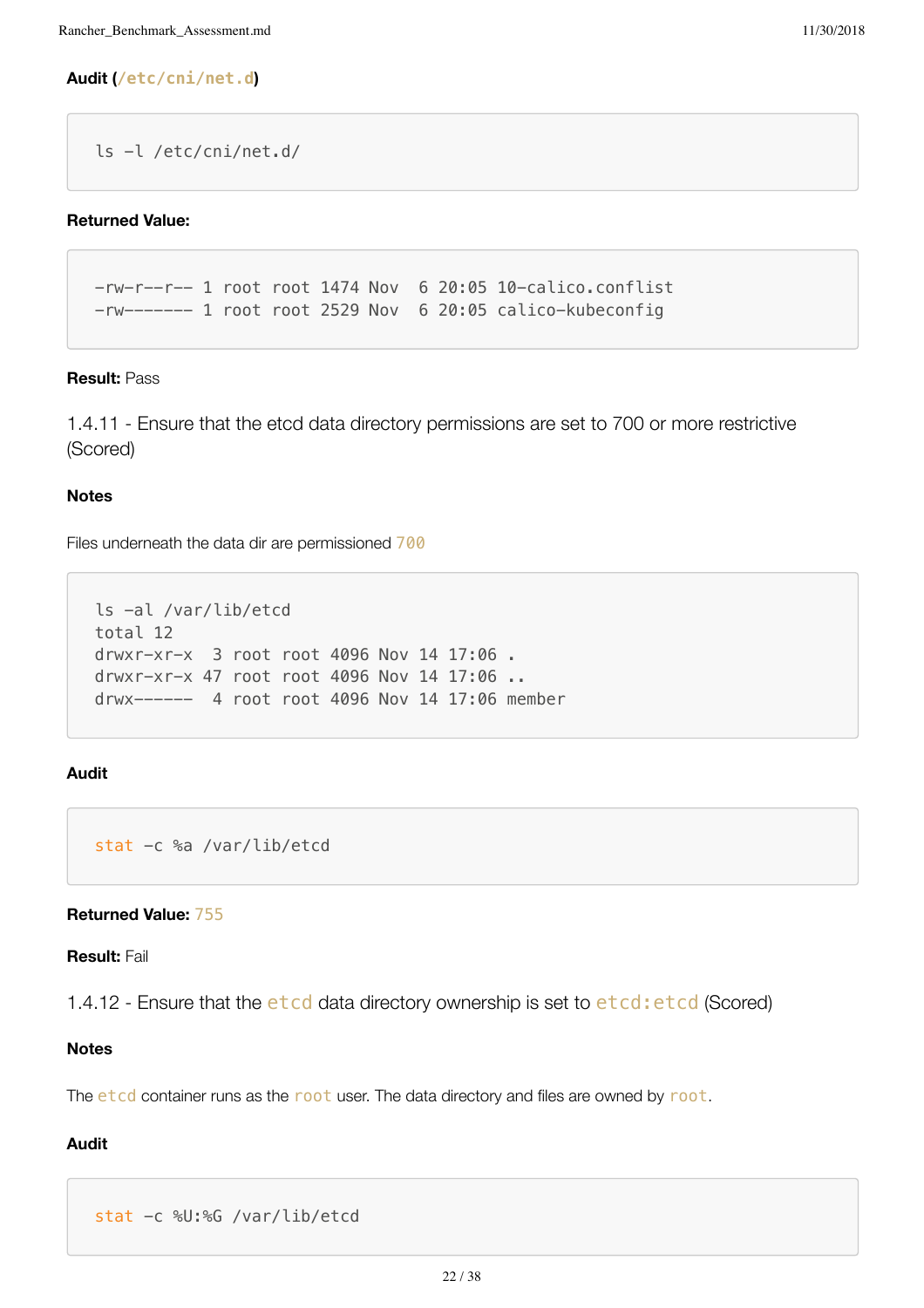# **Audit (/etc/cni/net.d)**

```
ls -l /etc/cni/net.d/
```
# **Returned Value:**

-rw-r--r-- 1 root root 1474 Nov 6 20:05 10-calico.conflist -rw------- 1 root root 2529 Nov 6 20:05 calico-kubeconfig

# **Result:** Pass

1.4.11 - Ensure that the etcd data directory permissions are set to 700 or more restrictive (Scored)

# **Notes**

Files underneath the data dir are permissioned 700

```
ls -al /var/lib/etcd
total 12
drwxr-xr-x 3 root root 4096 Nov 14 17:06 .
drwxr-xr-x 47 root root 4096 Nov 14 17:06 ..
drwx------ 4 root root 4096 Nov 14 17:06 member
```
# **Audit**

```
stat -c %a /var/lib/etcd
```
# **Returned Value:** 755

#### **Result:** Fail

1.4.12 - Ensure that the etcd data directory ownership is set to etcd: etcd (Scored)

# **Notes**

The etcd container runs as the root user. The data directory and files are owned by root.

```
stat -c %U:%G /var/lib/etcd
```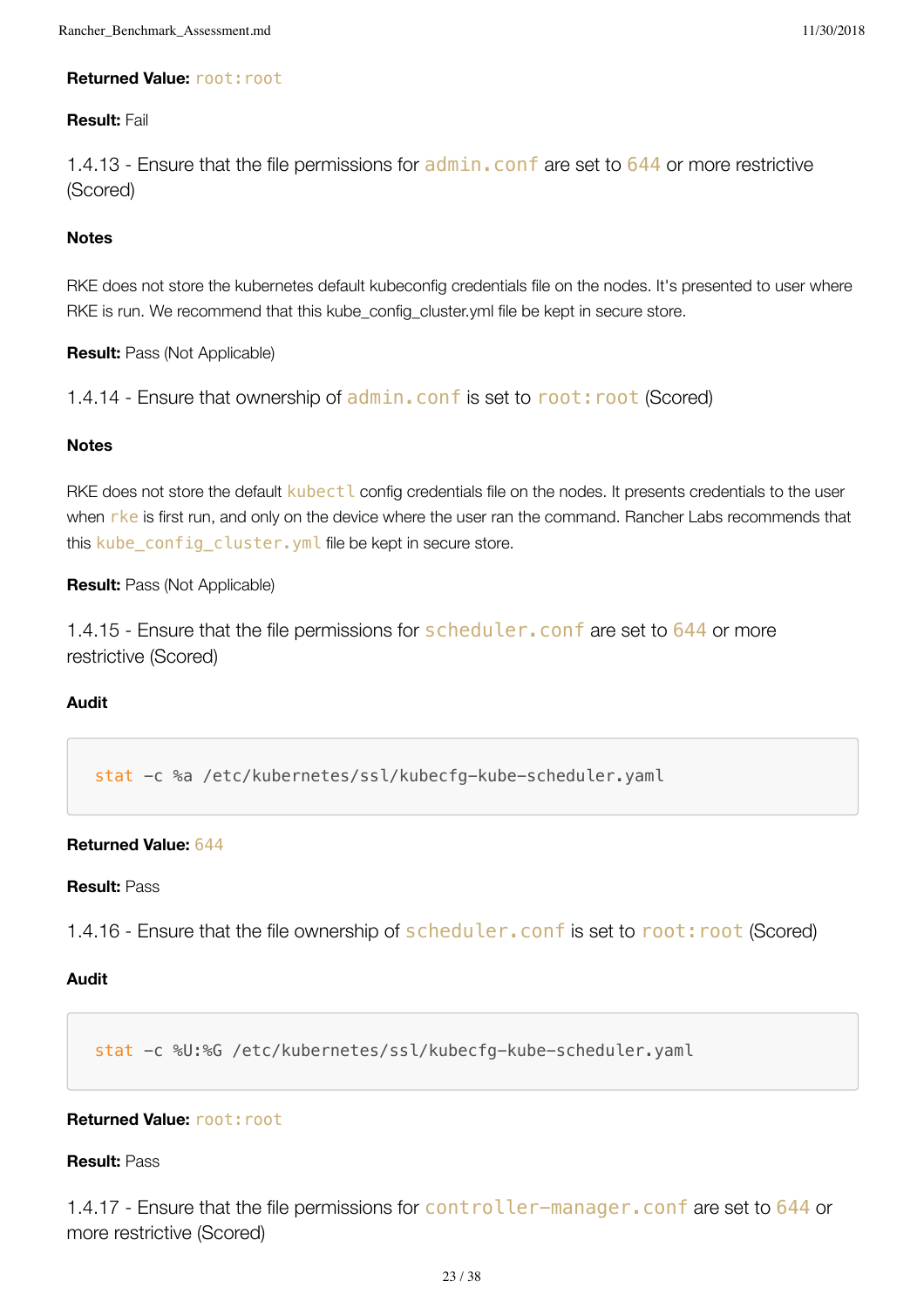# **Returned Value: root: root**

# **Result:** Fail

1.4.13 - Ensure that the file permissions for **admin. conf** are set to 644 or more restrictive (Scored)

# **Notes**

RKE does not store the kubernetes default kubeconfig credentials file on the nodes. It's presented to user where RKE is run. We recommend that this kube\_config\_cluster.yml file be kept in secure store.

**Result:** Pass (Not Applicable)

1.4.14 - Ensure that ownership of admin.conf is set to root: root (Scored)

# **Notes**

RKE does not store the default kubect L config credentials file on the nodes. It presents credentials to the user when rke is first run, and only on the device where the user ran the command. Rancher Labs recommends that this kube\_config\_cluster.yml file be kept in secure store.

# **Result:** Pass (Not Applicable)

1.4.15 - Ensure that the file permissions for scheduler. conf are set to 644 or more restrictive (Scored)

# **Audit**

stat -c %a /etc/kubernetes/ssl/kubecfg-kube-scheduler.yaml

# **Returned Value:** 644

#### **Result:** Pass

1.4.16 - Ensure that the file ownership of scheduler. conf is set to root: root (Scored)

# **Audit**

stat -c %U:%G /etc/kubernetes/ssl/kubecfg-kube-scheduler.yaml

# **Returned Value: root: root**

#### **Result:** Pass

1.4.17 - Ensure that the file permissions for controller-manager. conf are set to 644 or more restrictive (Scored)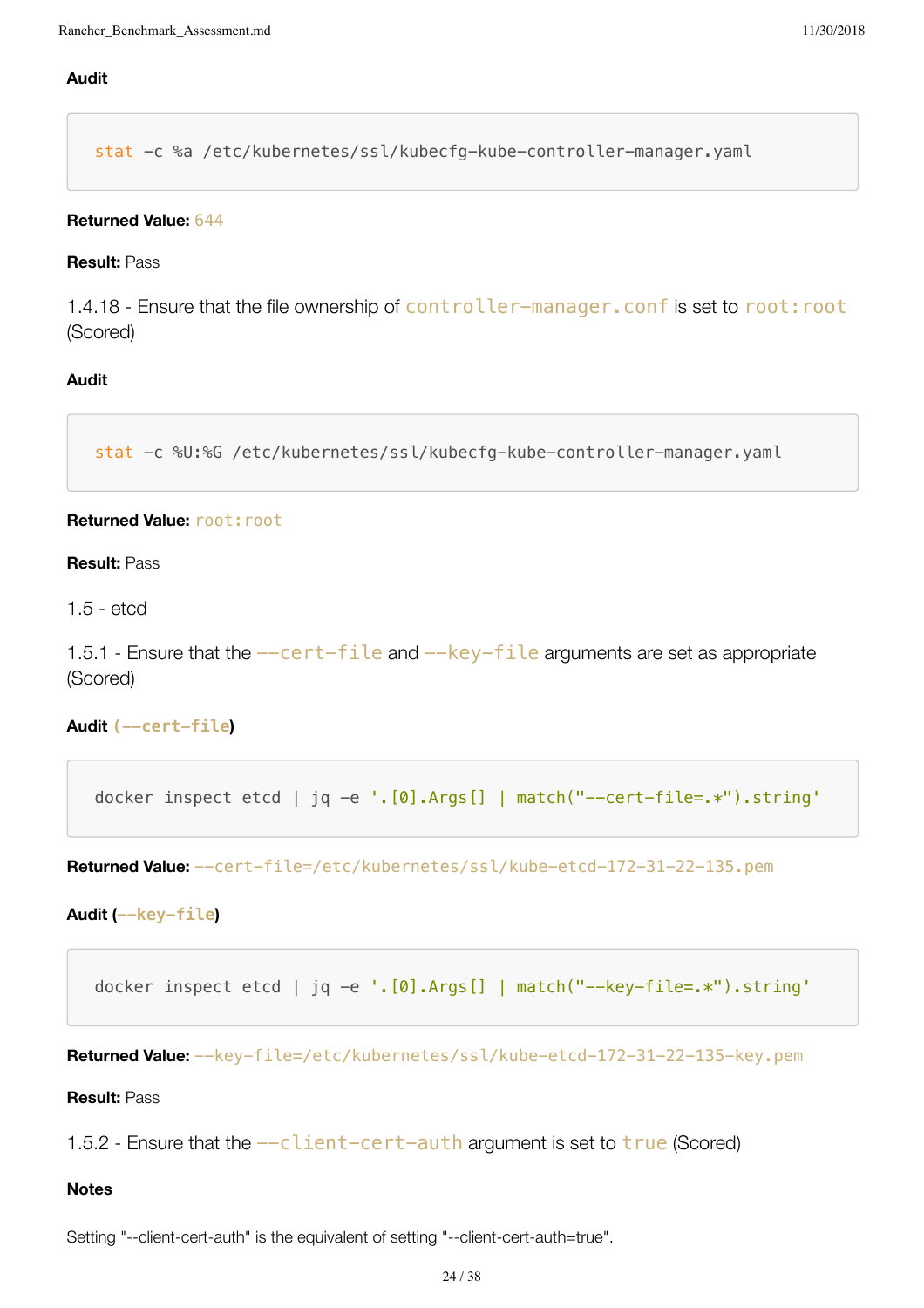# **Audit**

stat -c %a /etc/kubernetes/ssl/kubecfg-kube-controller-manager.yaml

#### **Returned Value:** 644

#### **Result:** Pass

1.4.18 - Ensure that the file ownership of controller-manager. conf is set to root: root (Scored)

# **Audit**

```
stat -c %U:%G /etc/kubernetes/ssl/kubecfg-kube-controller-manager.yaml
```
#### **Returned Value: root: root**

#### **Result:** Pass

1.5 - etcd

1.5.1 - Ensure that the  $--cert$ -file and  $-$ key-file arguments are set as appropriate (Scored)

## **Audit (--cert-file)**

```
docker inspect etcd | jq -e '.[0].Args[] | match("--cert-file=.*").string'
```
**Returned Value:** --cert-file=/etc/kubernetes/ssl/kube-etcd-172-31-22-135.pem

#### **Audit (--key-file)**

```
docker inspect etcd | jq -e '.[0].Args[] | match("--key-file=.*").string'
```
**Returned Value:** --key-file=/etc/kubernetes/ssl/kube-etcd-172-31-22-135-key.pem

#### **Result:** Pass

1.5.2 - Ensure that the  $-c$  lient-cert-auth argument is set to  $true$  (Scored)

## **Notes**

Setting "--client-cert-auth" is the equivalent of setting "--client-cert-auth=true".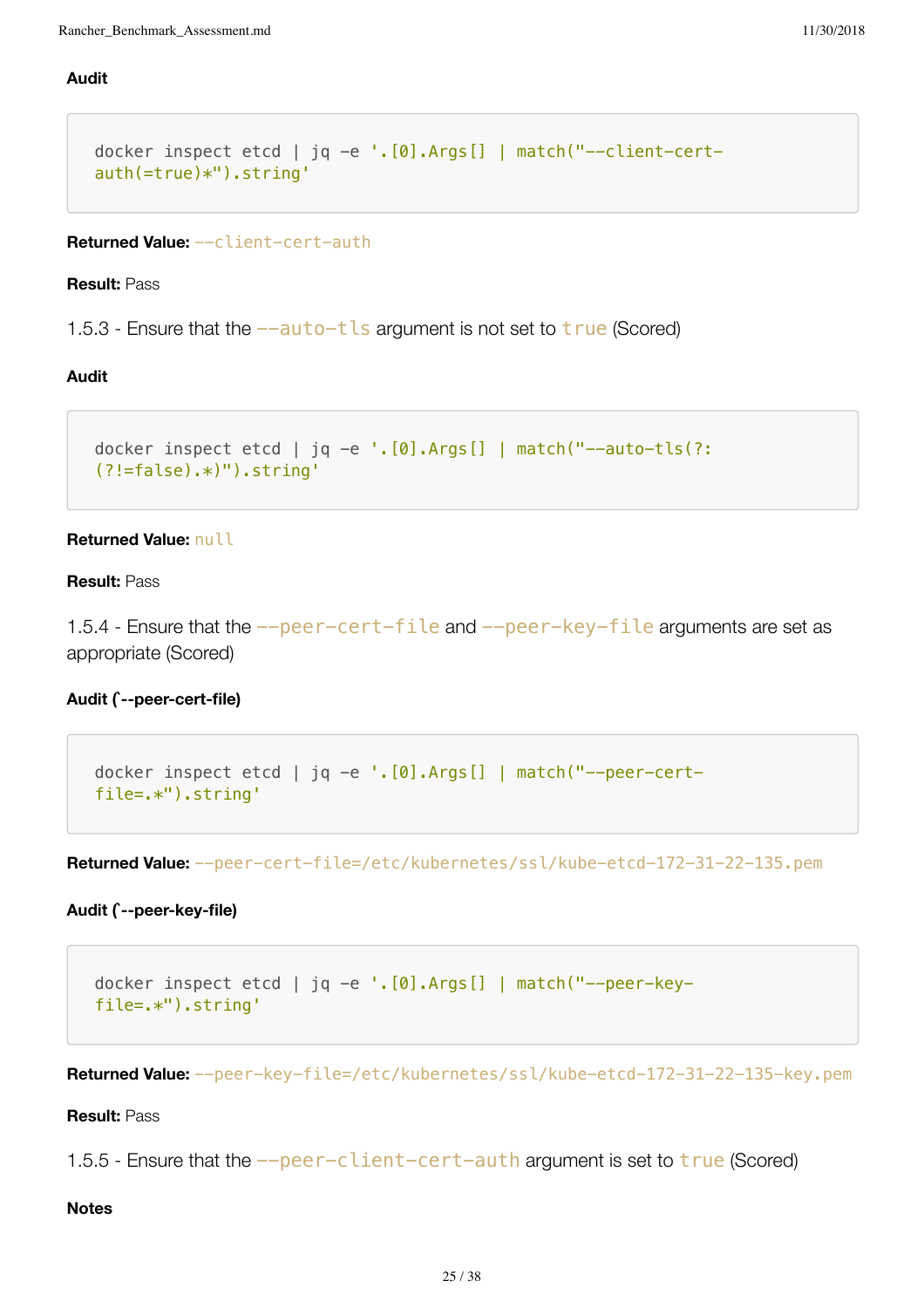# **Audit**

```
docker inspect etcd | jq -e '. [0]. Args [] | match("--client-cert-
auth(=true)*").string'
```
#### **Returned Value:** --client-cert-auth

#### **Result:** Pass

1.5.3 - Ensure that the  $-$ -auto-tls argument is not set to  $true$  (Scored)

# **Audit**

```
docker inspect etcd | jq -e '. [0]. Args [] | match("--auto-tls(?:
(?!=false).*)").string'
```
# **Returned Value:** null

#### **Result:** Pass

1.5.4 - Ensure that the  $-$ -peer-cert-file and  $-$ -peer-key-file arguments are set as appropriate (Scored)

# **Audit (`--peer-cert-file)**

```
docker inspect etcd | jq -e '.[0].Args[] | match("--peer-cert-
file=.*").string'
```
**Returned Value:** --peer-cert-file=/etc/kubernetes/ssl/kube-etcd-172-31-22-135.pem

#### **Audit (`--peer-key-file)**

```
docker inspect etcd | jq -e '.[0].Args[] | match("--peer-key-
file=.*").string'
```
**Returned Value:** --peer-key-file=/etc/kubernetes/ssl/kube-etcd-172-31-22-135-key.pem

**Result:** Pass

1.5.5 - Ensure that the  $-\text{peer-client-cert-auth}$  argument is set to  $\text{true}$  (Scored)

#### **Notes**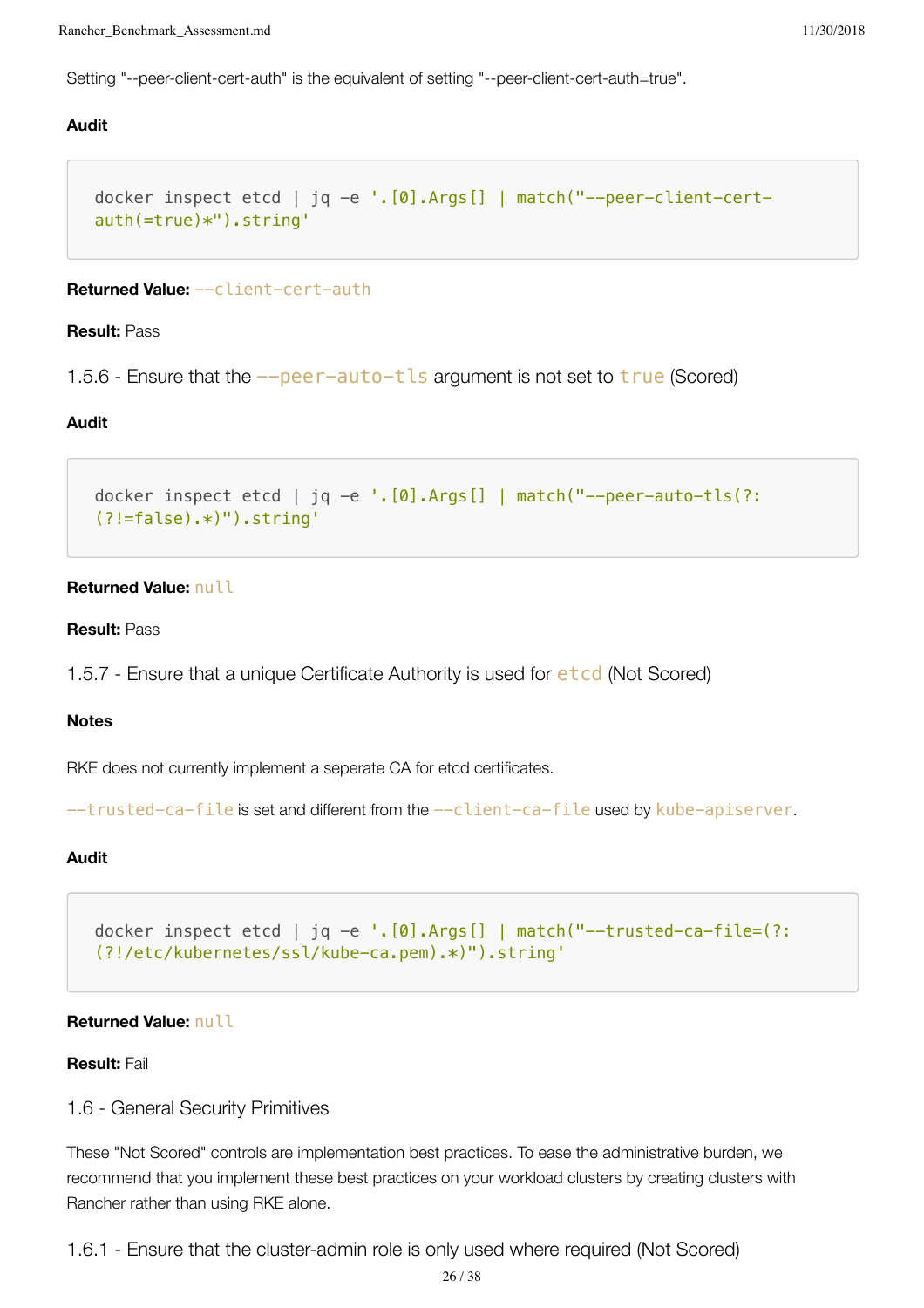Setting "--peer-client-cert-auth" is the equivalent of setting "--peer-client-cert-auth=true".

#### **Audit**

```
docker inspect etcd | jq -e '.[0].Args[] | match("--peer-client-cert-
auth(=true)*").string'
```
#### **Returned Value:** --client-cert-auth

#### **Result:** Pass

1.5.6 - Ensure that the  $-\text{peer}-\text{auto}-\text{t}\text{ls}$  argument is not set to  $\text{true}$  (Scored)

#### **Audit**

```
docker inspect etcd | jq -e '.[0].Args[] | match("--peer-auto-tls(?:
(?!=false).*)").string'
```
#### **Returned Value:** null

#### **Result:** Pass

```
1.5.7 - Ensure that a unique Certificate Authority is used for etcd (Not Scored)
```
#### **Notes**

RKE does not currently implement a seperate CA for etcd certificates.

```
--trusted-ca-file is set and different from the --client-ca-file used by kube-apiserver.
```
#### **Audit**

docker inspect etcd | jq -e  $\lceil \cdot \cdot \rceil$ . [0]. Args [] | match("--trusted-ca-file=(?: (?!/etc/kubernetes/ssl/kube-ca.pem).\*)").string'

#### **Returned Value:** null

#### **Result:** Fail

#### 1.6 - General Security Primitives

These "Not Scored" controls are implementation best practices. To ease the administrative burden, we recommend that you implement these best practices on your workload clusters by creating clusters with Rancher rather than using RKE alone.

1.6.1 - Ensure that the cluster-admin role is only used where required (Not Scored)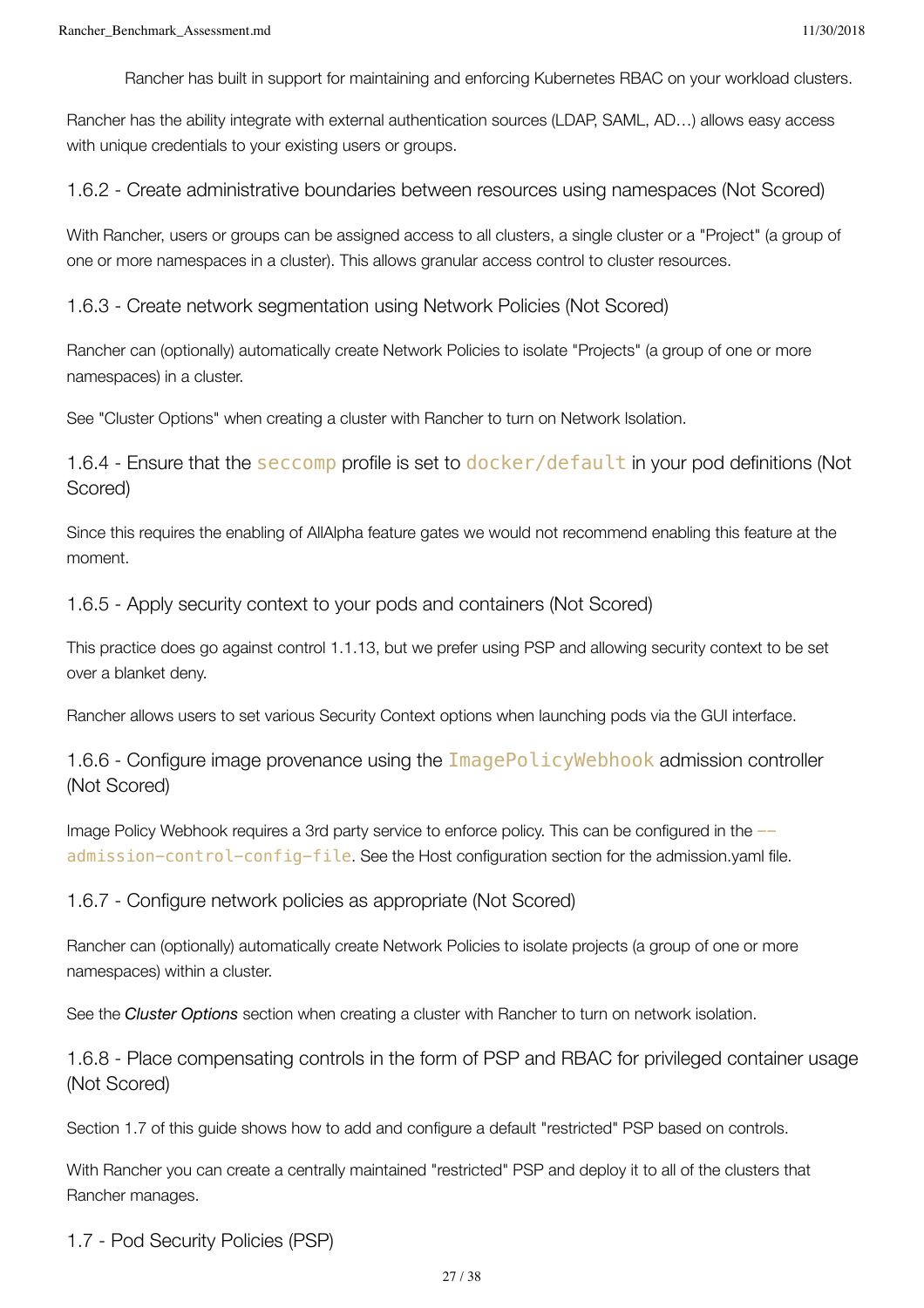Rancher has built in support for maintaining and enforcing Kubernetes RBAC on your workload clusters.

Rancher has the ability integrate with external authentication sources (LDAP, SAML, AD…) allows easy access with unique credentials to your existing users or groups.

1.6.2 - Create administrative boundaries between resources using namespaces (Not Scored)

With Rancher, users or groups can be assigned access to all clusters, a single cluster or a "Project" (a group of one or more namespaces in a cluster). This allows granular access control to cluster resources.

1.6.3 - Create network segmentation using Network Policies (Not Scored)

Rancher can (optionally) automatically create Network Policies to isolate "Projects" (a group of one or more namespaces) in a cluster.

See "Cluster Options" when creating a cluster with Rancher to turn on Network Isolation.

1.6.4 - Ensure that the seccomp profile is set to docker/default in your pod definitions (Not Scored)

Since this requires the enabling of AllAlpha feature gates we would not recommend enabling this feature at the moment.

1.6.5 - Apply security context to your pods and containers (Not Scored)

This practice does go against control 1.1.13, but we prefer using PSP and allowing security context to be set over a blanket deny.

Rancher allows users to set various Security Context options when launching pods via the GUI interface.

1.6.6 - Configure image provenance using the ImagePolicyWebhook admission controller (Not Scored)

Image Policy Webhook requires a 3rd party service to enforce policy. This can be configured in the  $$ admission-control-config-file. See the Host configuration section for the admission.yaml file.

1.6.7 - Configure network policies as appropriate (Not Scored)

Rancher can (optionally) automatically create Network Policies to isolate projects (a group of one or more namespaces) within a cluster.

See the *Cluster Options* section when creating a cluster with Rancher to turn on network isolation.

1.6.8 - Place compensating controls in the form of PSP and RBAC for privileged container usage (Not Scored)

Section 1.7 of this guide shows how to add and configure a default "restricted" PSP based on controls.

With Rancher you can create a centrally maintained "restricted" PSP and deploy it to all of the clusters that Rancher manages.

1.7 - Pod Security Policies (PSP)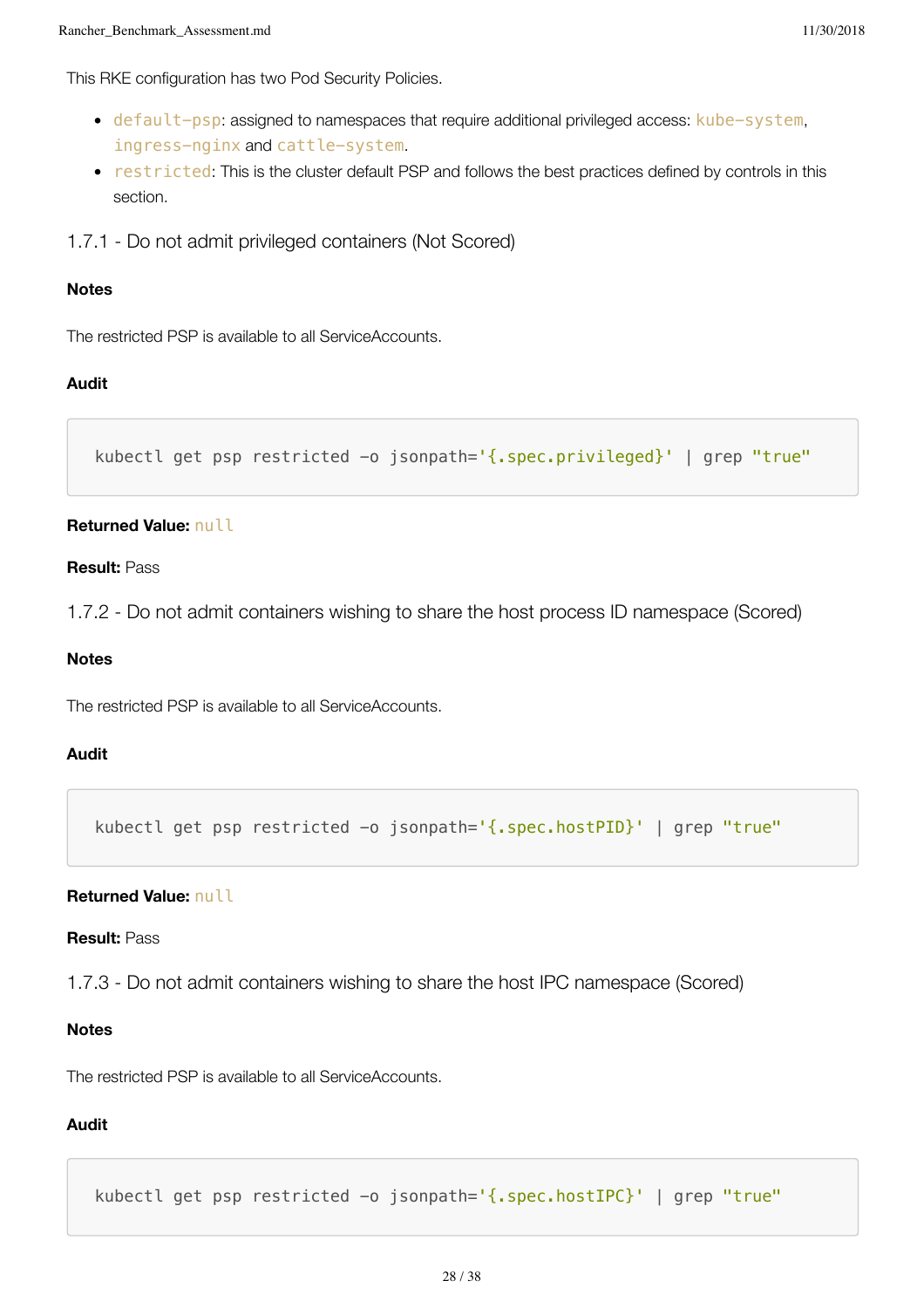This RKE configuration has two Pod Security Policies.

- default-psp: assigned to namespaces that require additional privileged access: kube-system, ingress-nginx and cattle-system.
- restricted: This is the cluster default PSP and follows the best practices defined by controls in this section.
- 1.7.1 Do not admit privileged containers (Not Scored)

#### **Notes**

The restricted PSP is available to all ServiceAccounts.

#### **Audit**

```
kubectl get psp restricted -o jsonpath='{.spec.privileged}' | grep "true"
```
#### **Returned Value:** null

#### **Result:** Pass

1.7.2 - Do not admit containers wishing to share the host process ID namespace (Scored)

### **Notes**

The restricted PSP is available to all ServiceAccounts.

#### **Audit**

kubectl get psp restricted -o jsonpath='{.spec.hostPID}' | grep "true"

# **Returned Value:** null

#### **Result:** Pass

1.7.3 - Do not admit containers wishing to share the host IPC namespace (Scored)

#### **Notes**

The restricted PSP is available to all ServiceAccounts.

# **Audit**

kubectl get psp restricted -o jsonpath='{.spec.hostIPC}' | grep "true"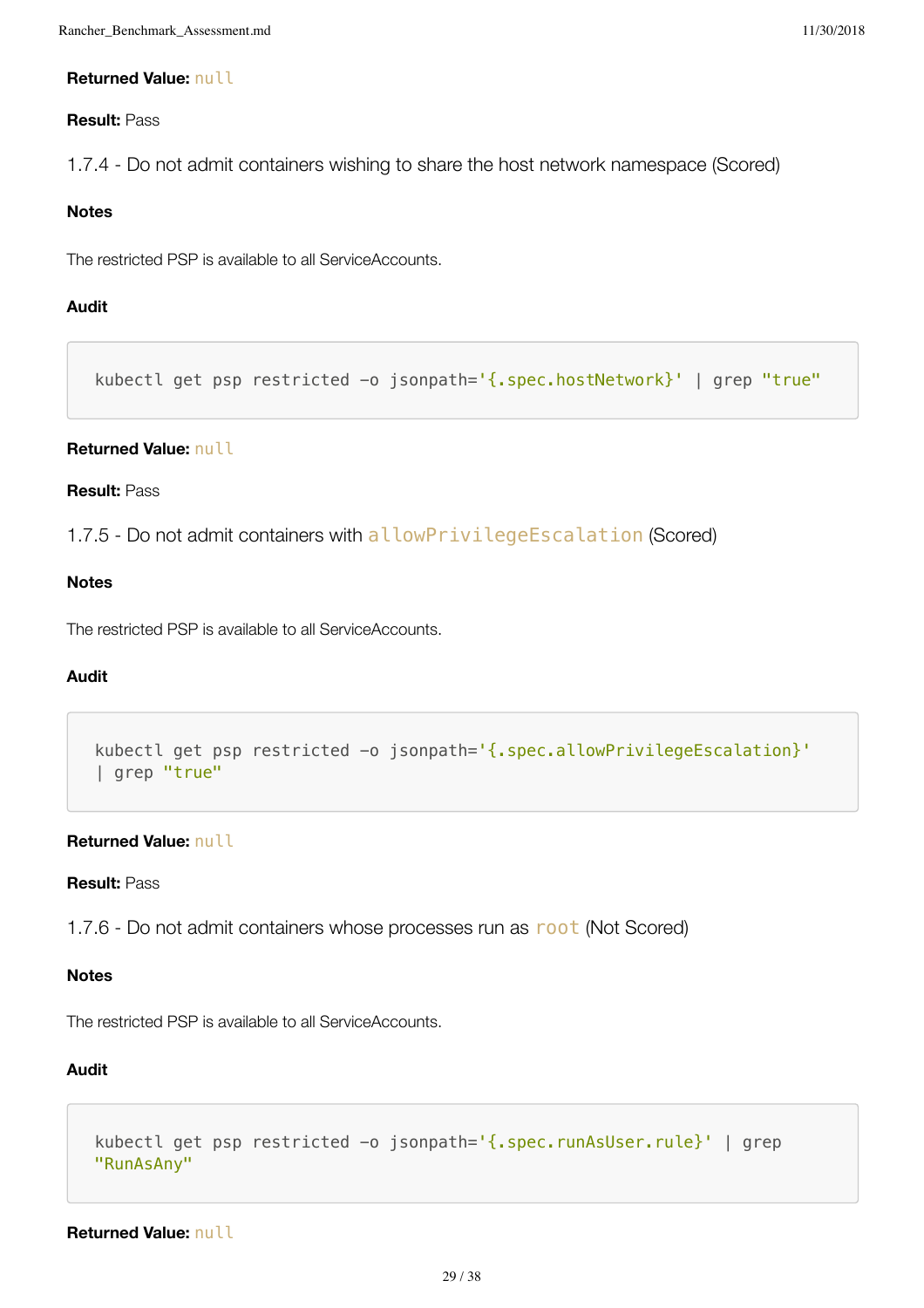# **Returned Value:** null

# **Result:** Pass

1.7.4 - Do not admit containers wishing to share the host network namespace (Scored)

# **Notes**

The restricted PSP is available to all ServiceAccounts.

# **Audit**

kubectl get psp restricted -o jsonpath='{.spec.hostNetwork}' | grep "true"

# **Returned Value:** null

# **Result:** Pass

1.7.5 - Do not admit containers with allowPrivilegeEscalation (Scored)

# **Notes**

The restricted PSP is available to all ServiceAccounts.

# **Audit**

```
kubectl get psp restricted -o jsonpath='{.spec.allowPrivilegeEscalation}'
| grep "true"
```
# **Returned Value:** null

#### **Result:** Pass

1.7.6 - Do not admit containers whose processes run as root (Not Scored)

# **Notes**

The restricted PSP is available to all ServiceAccounts.

# **Audit**

```
kubectl get psp restricted -o jsonpath='{.spec.runAsUser.rule}' | grep
"RunAsAny"
```
**Returned Value:** null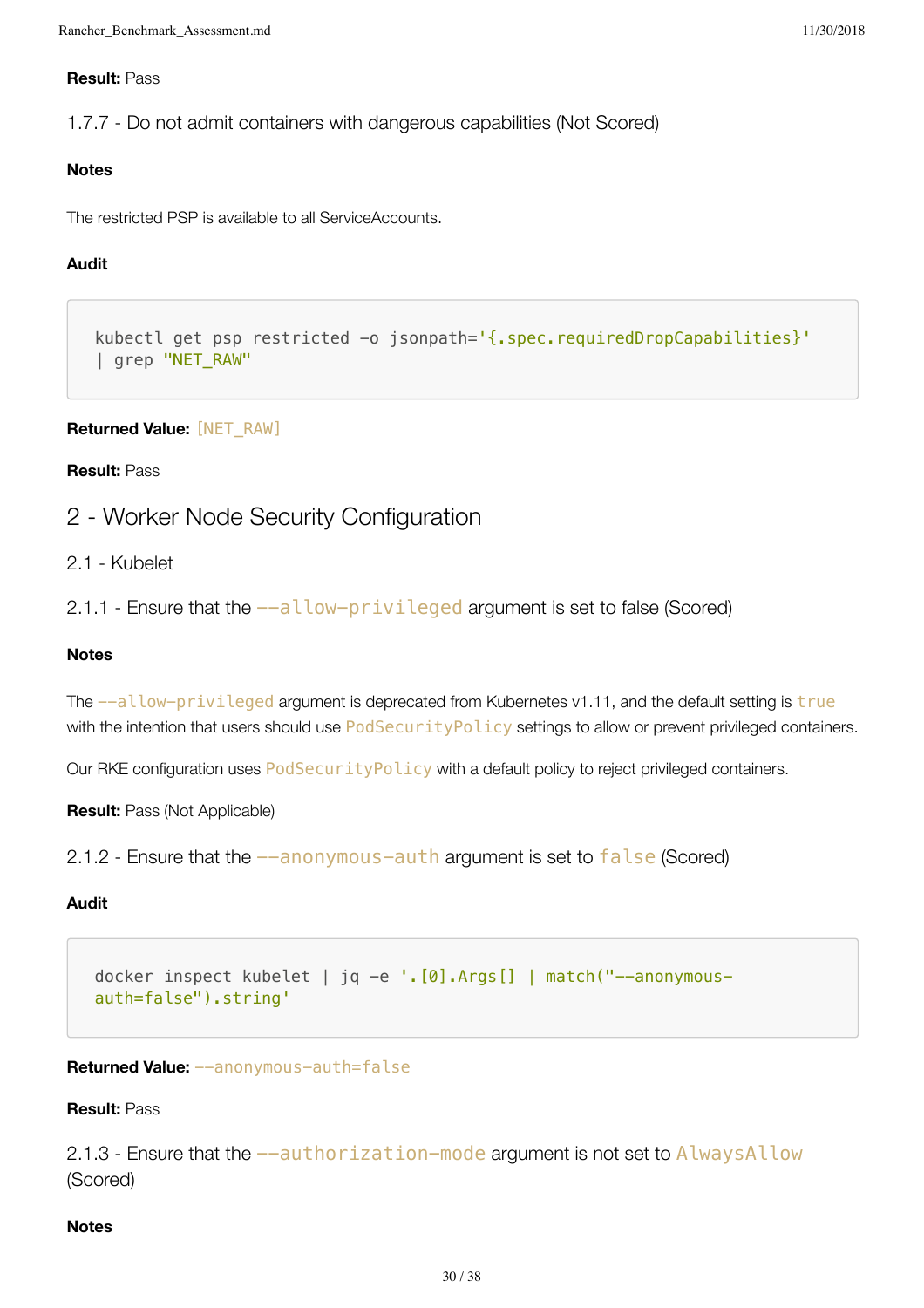# **Result:** Pass

1.7.7 - Do not admit containers with dangerous capabilities (Not Scored)

# **Notes**

The restricted PSP is available to all ServiceAccounts.

# **Audit**

```
kubectl get psp restricted -o jsonpath='{.spec.requiredDropCapabilities}'
| grep "NET_RAW"
```
**Returned Value:** [NET\_RAW]

# **Result:** Pass

# 2 - Worker Node Security Configuration

2.1 - Kubelet

2.1.1 - Ensure that the  $--allow-privileged$  argument is set to false (Scored)

# **Notes**

The  $--a$ llow-privileged argument is deprecated from Kubernetes v1.11, and the default setting is true with the intention that users should use PodSecurityPolicy settings to allow or prevent privileged containers.

Our RKE configuration uses PodSecurityPolicy with a default policy to reject privileged containers.

**Result:** Pass (Not Applicable)

```
2.1.2 - Ensure that the --anonymous-auth argument is set to false (Scored)
```
# **Audit**

docker inspect kubelet | jq -e '.[0].Args[] | match("--anonymousauth=false").string'

**Returned Value:** --anonymous-auth=false

**Result:** Pass

2.1.3 - Ensure that the  $-$ -authorization-mode argument is not set to AlwaysAllow (Scored)

# **Notes**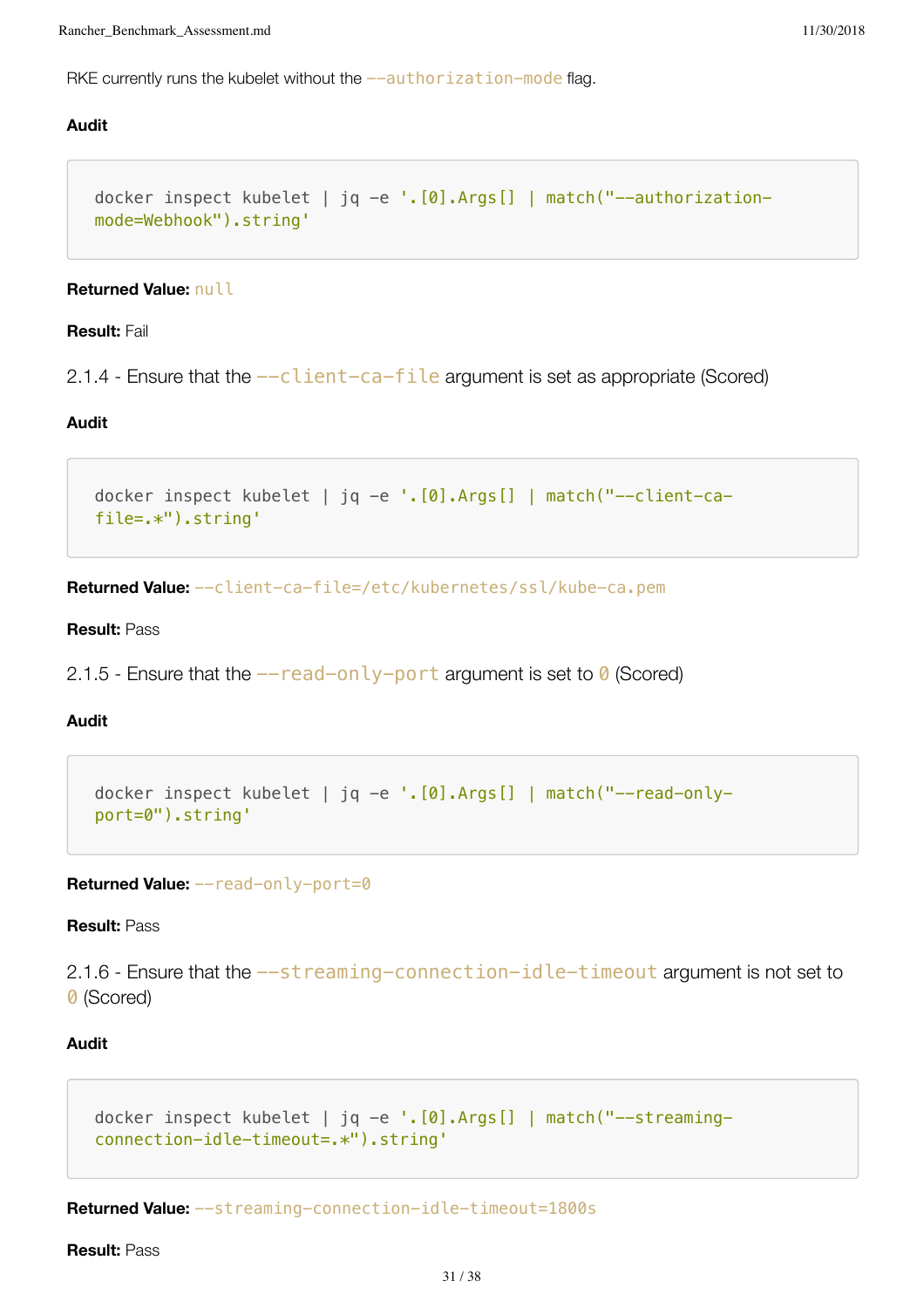RKE currently runs the kubelet without the  $-$ -authorization-mode flag.

#### **Audit**

```
docker inspect kubelet | jq -e '.[0].Args[] | match("--authorization-
mode=Webhook").string'
```
#### **Returned Value:** null

#### **Result:** Fail

2.1.4 - Ensure that the  $-c$ lient-ca-file argument is set as appropriate (Scored)

#### **Audit**

```
docker inspect kubelet | jq -e '.[0].Args[] | match("--client-ca-
file=.*").string'
```
**Returned Value:** --client-ca-file=/etc/kubernetes/ssl/kube-ca.pem

#### **Result:** Pass

2.1.5 - Ensure that the  $-\text{read-only-port argument}$  is set to 0 (Scored)

# **Audit**

```
docker inspect kubelet | jq -e '.[0].Args[] | match("--read-only-
port=0").string'
```
**Returned Value:** --read-only-port=0

**Result:** Pass

2.1.6 - Ensure that the  $-$ streaming-connection-idle-timeout argument is not set to 0 (Scored)

#### **Audit**

```
docker inspect kubelet | jq -e '.[0].Args[] | match("--streaming-
connection-idle-timeout=.*").string'
```
**Returned Value:** --streaming-connection-idle-timeout=1800s

**Result:** Pass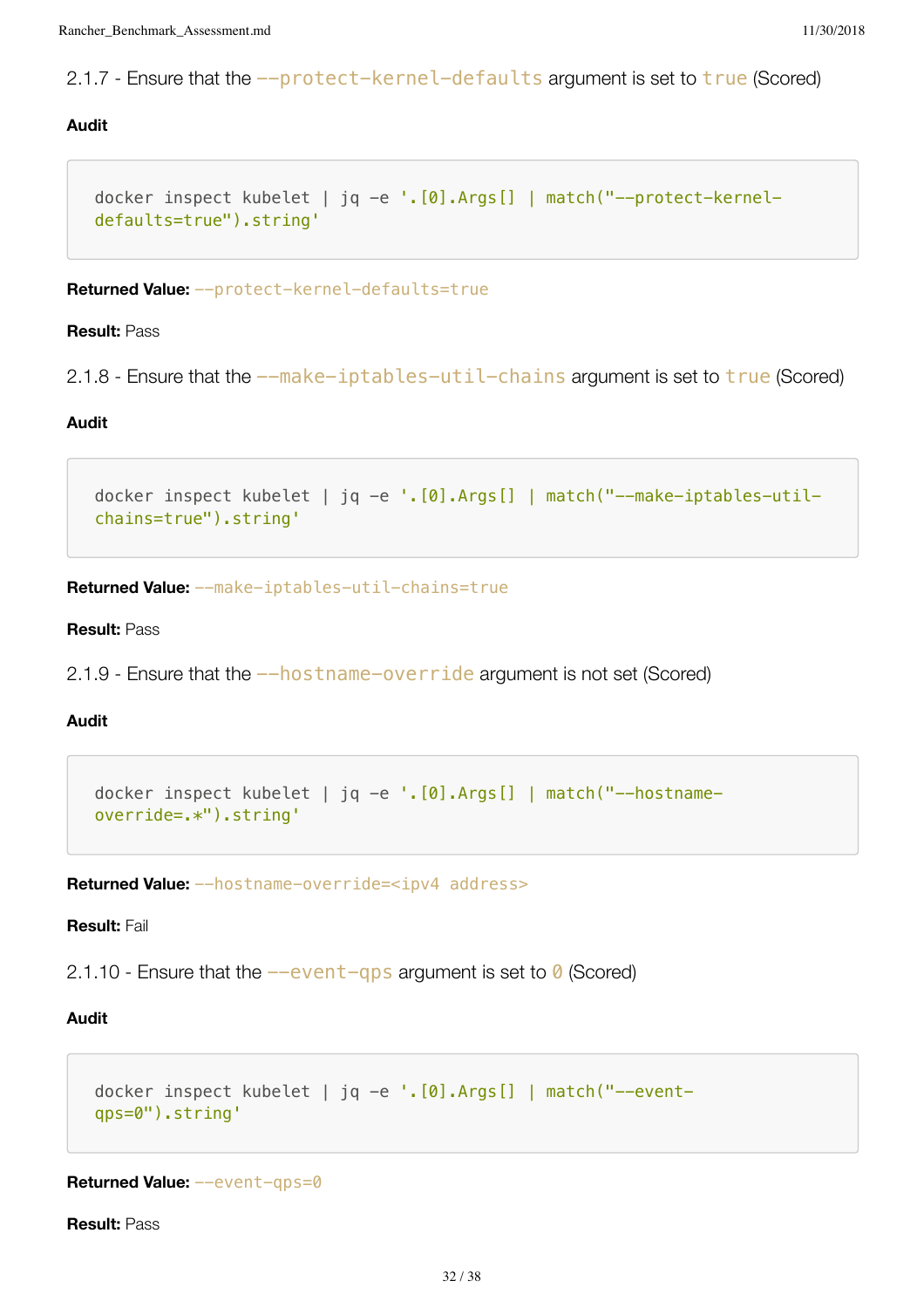2.1.7 - Ensure that the --protect-kernel-defaults argument is set to true (Scored)

# **Audit**

```
docker inspect kubelet | jq -e '.[0].Args[] | match("--protect-kernel-
defaults=true").string'
```
**Returned Value:** --protect-kernel-defaults=true

#### **Result:** Pass

```
2.1.8 - Ensure that the -\text{make-iptable} -util-chains argument is set to \tt true (Scored)
```
# **Audit**

```
docker inspect kubelet | jq -e '.[0].Args[] | match("--make-iptables-util-
chains=true").string'
```
**Returned Value:** --make-iptables-util-chains=true

#### **Result:** Pass

2.1.9 - Ensure that the  $-$ hostname-override argument is not set (Scored)

# **Audit**

```
docker inspect kubelet | jq -e '.[0].Args[] | match("--hostname-
override=.*").string'
```
**Returned Value:** --hostname-override=<ipv4 address>

# **Result:** Fail

2.1.10 - Ensure that the  $-$ event-qps argument is set to 0 (Scored)

#### **Audit**

```
docker inspect kubelet | jq -e '.[0].Args[] | match("--event-
qps=0").string'
```
**Returned Value:** --event-qps=0

**Result:** Pass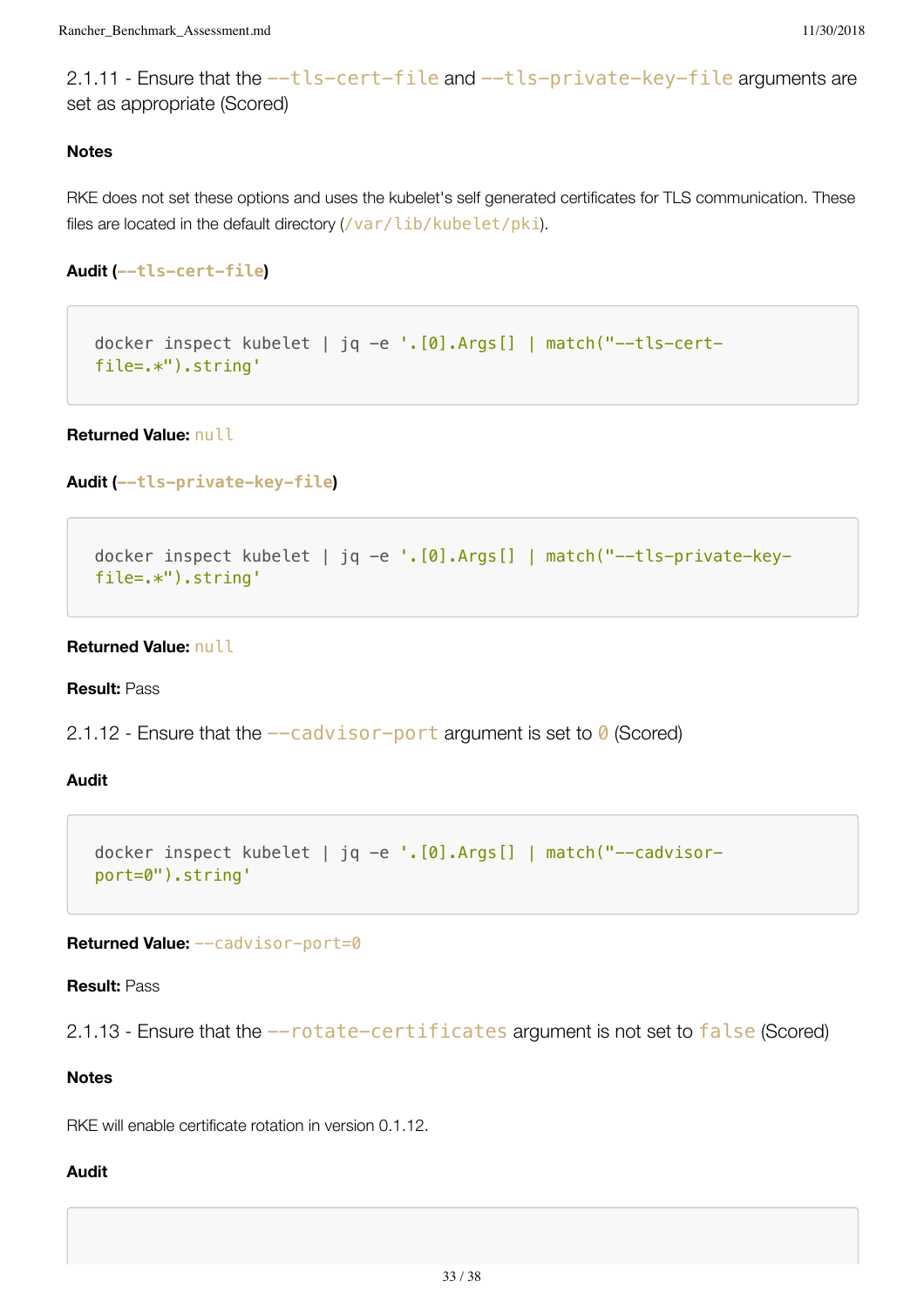2.1.11 - Ensure that the  $-$ tls-cert-file and  $-$ tls-private-key-file arguments are set as appropriate (Scored)

# **Notes**

RKE does not set these options and uses the kubelet's self generated certificates for TLS communication. These files are located in the default directory (/var/lib/kubelet/pki).

**Audit (--tls-cert-file)**

docker inspect kubelet | jq -e '.[0].Args[] | match("--tls-certfile=.\*").string'

**Returned Value:** null

```
Audit (--tls-private-key-file)
```

```
docker inspect kubelet | jq -e '.[0].Args[] | match("--tls-private-key-
file=.*").string'
```
#### **Returned Value:** null

**Result:** Pass

```
2.1.12 - Ensure that the -cadvisor-port argument is set to \theta (Scored)
```
**Audit**

```
docker inspect kubelet | jq -e '.[0].Args[] | match("--cadvisor-
port=0").string'
```
**Returned Value:** --cadvisor-port=0

**Result:** Pass

2.1.13 - Ensure that the  $--rotate-certificates$  argument is not set to false (Scored)

## **Notes**

RKE will enable certificate rotation in version 0.1.12.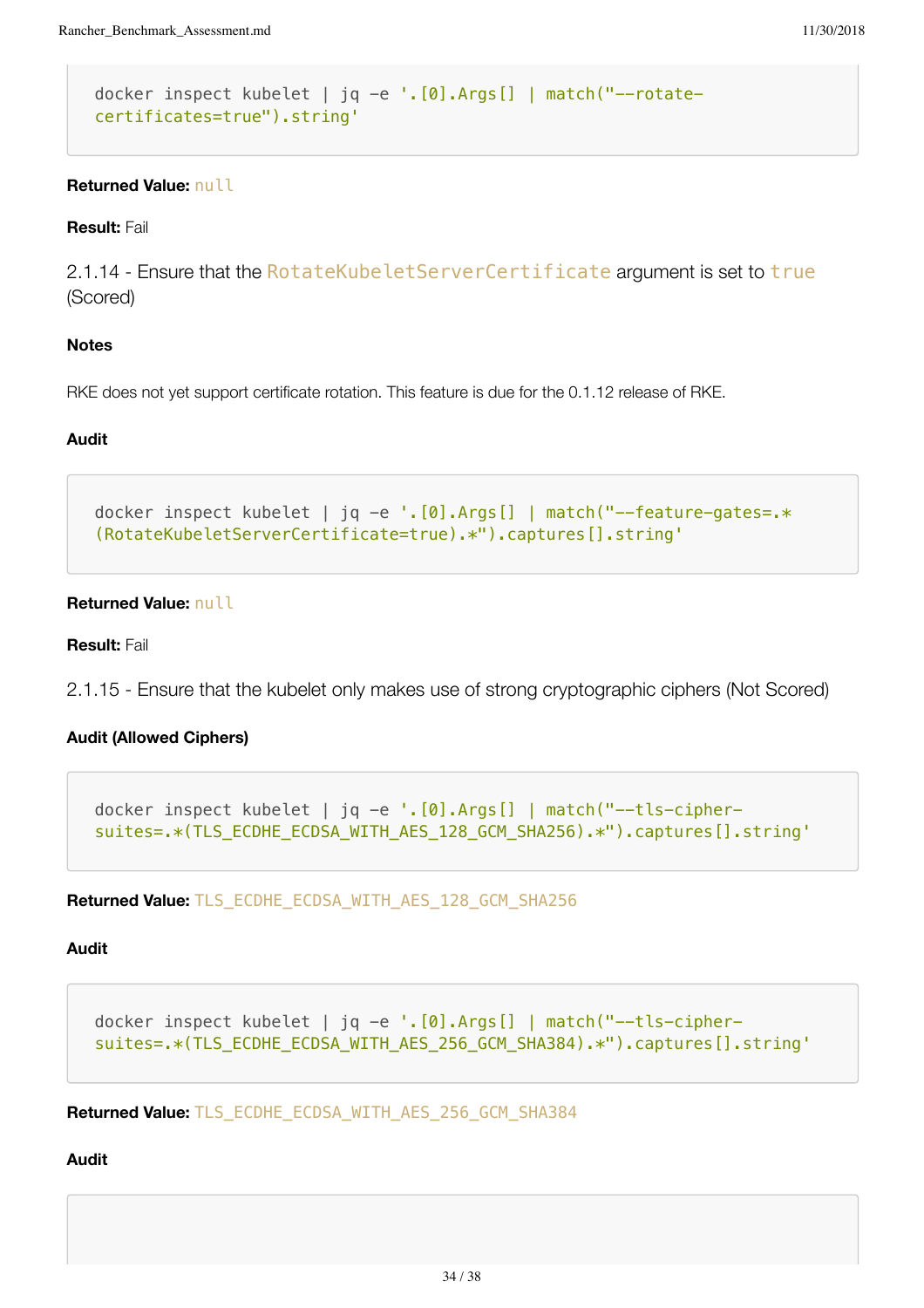```
docker inspect kubelet | jq -e '.[0].Args[] | match("--rotate-
certificates=true").string'
```
# **Returned Value:** null

#### **Result:** Fail

2.1.14 - Ensure that the RotateKubeletServerCertificate argument is set to true (Scored)

# **Notes**

RKE does not yet support certificate rotation. This feature is due for the 0.1.12 release of RKE.

# **Audit**

```
docker inspect kubelet | jq -e '.[0].Args[] | match("--feature-gates=.*
(RotateKubeletServerCertificate=true).*").captures[].string'
```
# **Returned Value:** null

**Result:** Fail

2.1.15 - Ensure that the kubelet only makes use of strong cryptographic ciphers (Not Scored)

# **Audit (Allowed Ciphers)**

```
docker inspect kubelet | jq -e '.[0].Args[] | match("--tls-cipher-
suites=.*(TLS_ECDHE_ECDSA_WITH_AES_128_GCM_SHA256).*").captures[].string'
```
**Returned Value:** TLS\_ECDHE\_ECDSA\_WITH\_AES\_128\_GCM\_SHA256

#### **Audit**

```
docker inspect kubelet | jq -e '.[0].Args[] | match("--tls-cipher-
suites=.*(TLS_ECDHE_ECDSA_WITH_AES_256_GCM_SHA384).*").captures[].string'
```
**Returned Value:** TLS\_ECDHE\_ECDSA\_WITH\_AES\_256\_GCM\_SHA384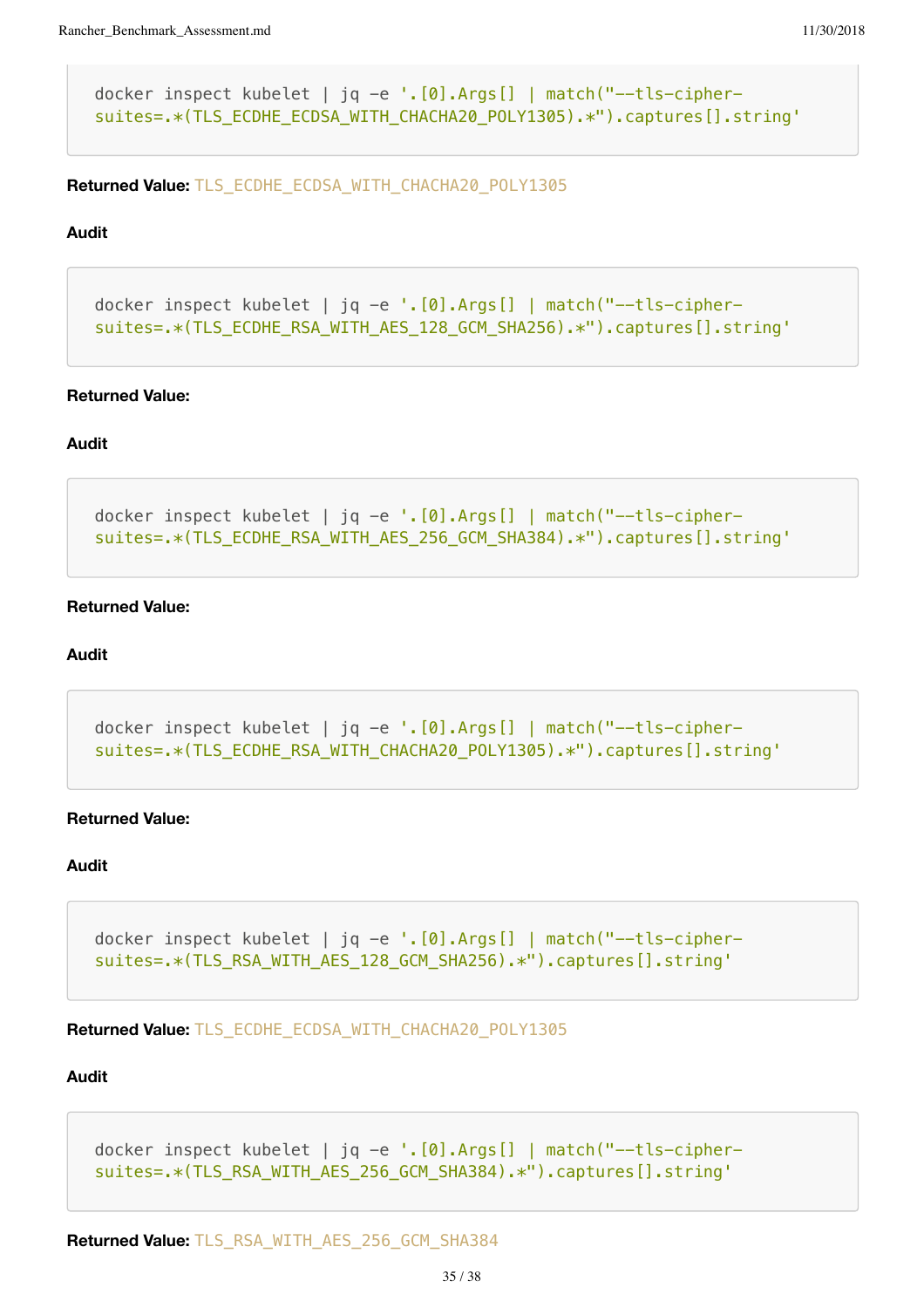```
docker inspect kubelet | jq -e '.[0].Args[] | match("--tls-cipher-
suites=.*(TLS_ECDHE_ECDSA_WITH_CHACHA20_POLY1305).*").captures[].string'
```
**Returned Value:** TLS\_ECDHE\_ECDSA\_WITH\_CHACHA20\_POLY1305

#### **Audit**

```
docker inspect kubelet | jq -e '.[0].Args[] | match("--tls-cipher-
suites=.*(TLS_ECDHE_RSA_WITH_AES_128_GCM_SHA256).*").captures[].string'
```
#### **Returned Value:**

#### **Audit**

```
docker inspect kubelet | jq -e '.[0].Args[] | match("--tls-cipher-
suites=.*(TLS_ECDHE_RSA_WITH_AES_256_GCM_SHA384).*").captures[].string'
```
# **Returned Value:**

## **Audit**

```
docker inspect kubelet | jq -e '.[0].Args[] | match("--tls-cipher-
suites=.*(TLS_ECDHE_RSA_WITH_CHACHA20_POLY1305).*").captures[].string'
```
#### **Returned Value:**

## **Audit**

```
docker inspect kubelet | jq -e '.[0].Args[] | match("--tls-cipher-
suites=.*(TLS_RSA_WITH_AES_128_GCM_SHA256).*").captures[].string'
```
**Returned Value:** TLS\_ECDHE\_ECDSA\_WITH\_CHACHA20\_POLY1305

```
docker inspect kubelet | jq -e '.[0].Args[] | match("--tls-cipher-
suites=.*(TLS_RSA_WITH_AES_256_GCM_SHA384).*").captures[].string'
```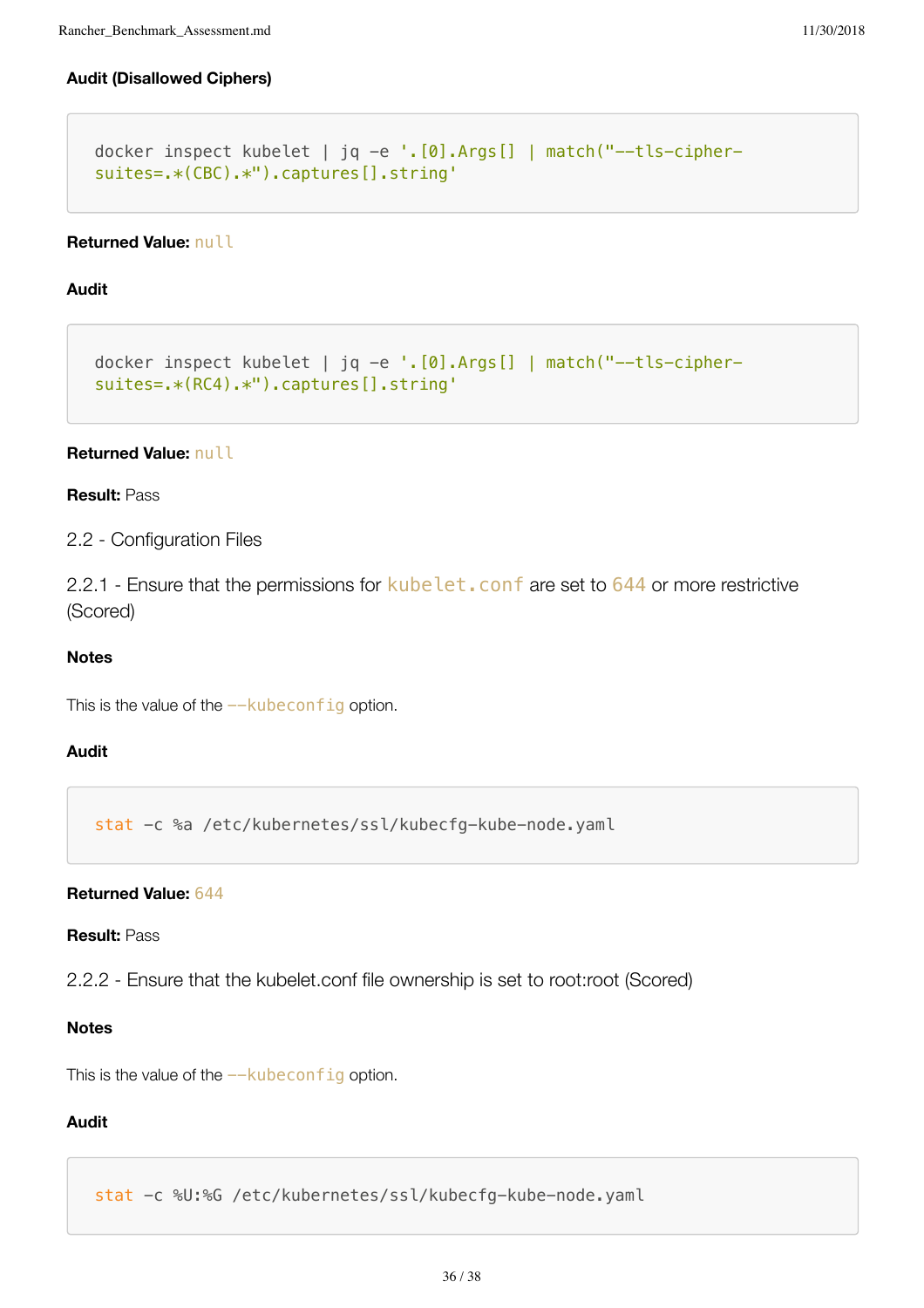# **Audit (Disallowed Ciphers)**

```
docker inspect kubelet | jq -e '.[0].Args[] | match("--tls-cipher-
suites=.*(CBC).*").captures[].string'
```
## **Returned Value:** null

## **Audit**

```
docker inspect kubelet | jq -e '.[0].Args[] | match("--tls-cipher-
suites=.*(RC4).*").captures[].string'
```
# **Returned Value:** null

#### **Result:** Pass

2.2 - Configuration Files

2.2.1 - Ensure that the permissions for kubelet. conf are set to 644 or more restrictive (Scored)

#### **Notes**

This is the value of the  $-\kappa$ ubeconfig option.

# **Audit**

stat -c %a /etc/kubernetes/ssl/kubecfg-kube-node.yaml

#### **Returned Value:** 644

#### **Result:** Pass

2.2.2 - Ensure that the kubelet.conf file ownership is set to root:root (Scored)

# **Notes**

This is the value of the  $-\kappa$ ubeconfig option.

# **Audit**

stat -c %U:%G /etc/kubernetes/ssl/kubecfg-kube-node.yaml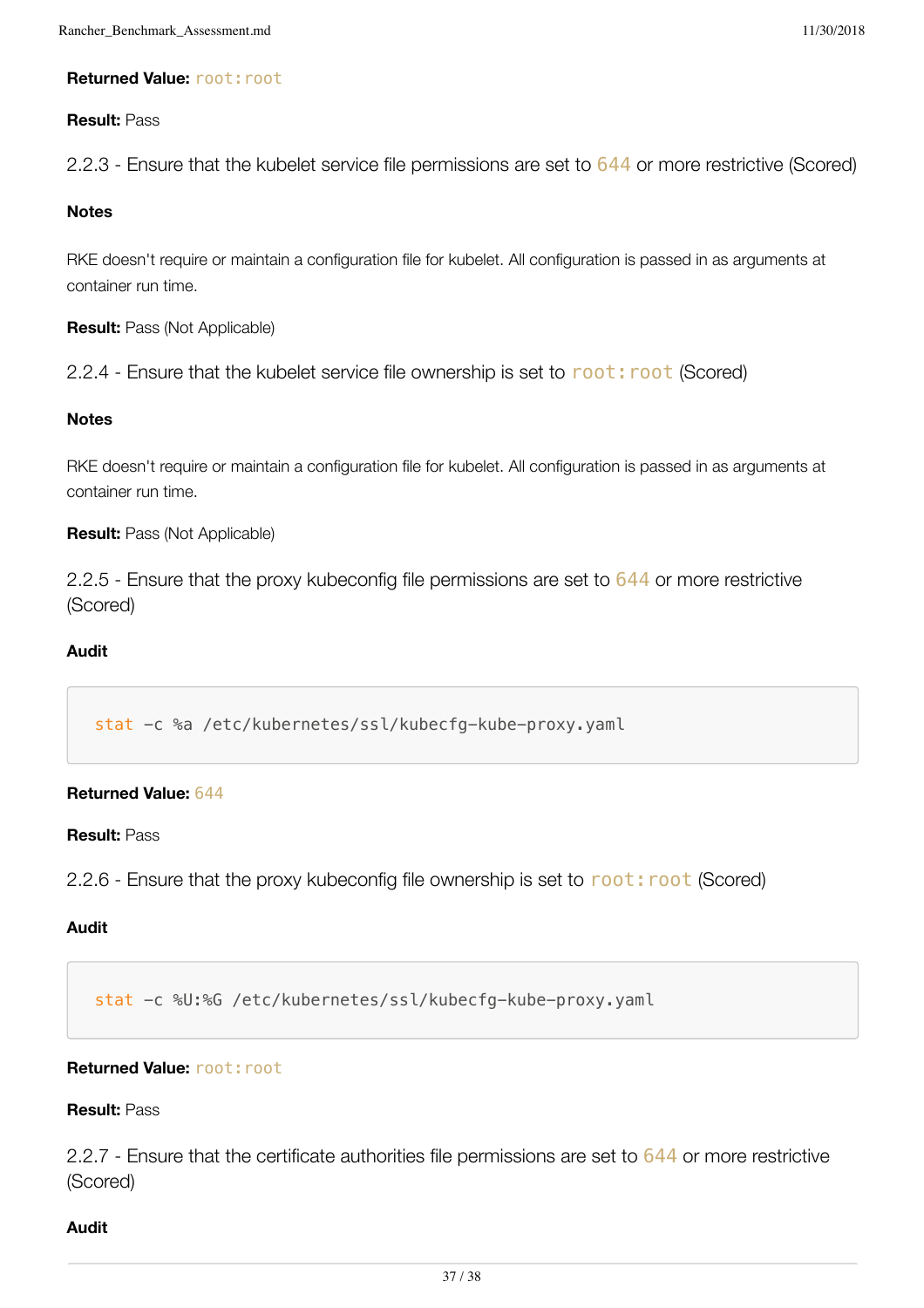# **Returned Value: root: root**

# **Result:** Pass

2.2.3 - Ensure that the kubelet service file permissions are set to 644 or more restrictive (Scored)

# **Notes**

RKE doesn't require or maintain a configuration file for kubelet. All configuration is passed in as arguments at container run time.

**Result:** Pass (Not Applicable)

2.2.4 - Ensure that the kubelet service file ownership is set to root: root (Scored)

# **Notes**

RKE doesn't require or maintain a configuration file for kubelet. All configuration is passed in as arguments at container run time.

# **Result:** Pass (Not Applicable)

2.2.5 - Ensure that the proxy kubeconfig file permissions are set to 644 or more restrictive (Scored)

# **Audit**

stat -c %a /etc/kubernetes/ssl/kubecfg-kube-proxy.yaml

# **Returned Value:** 644

# **Result:** Pass

2.2.6 - Ensure that the proxy kubeconfig file ownership is set to root: root (Scored)

# **Audit**

stat -c %U:%G /etc/kubernetes/ssl/kubecfg-kube-proxy.yaml

# **Returned Value: root: root**

# **Result:** Pass

2.2.7 - Ensure that the certificate authorities file permissions are set to 644 or more restrictive (Scored)